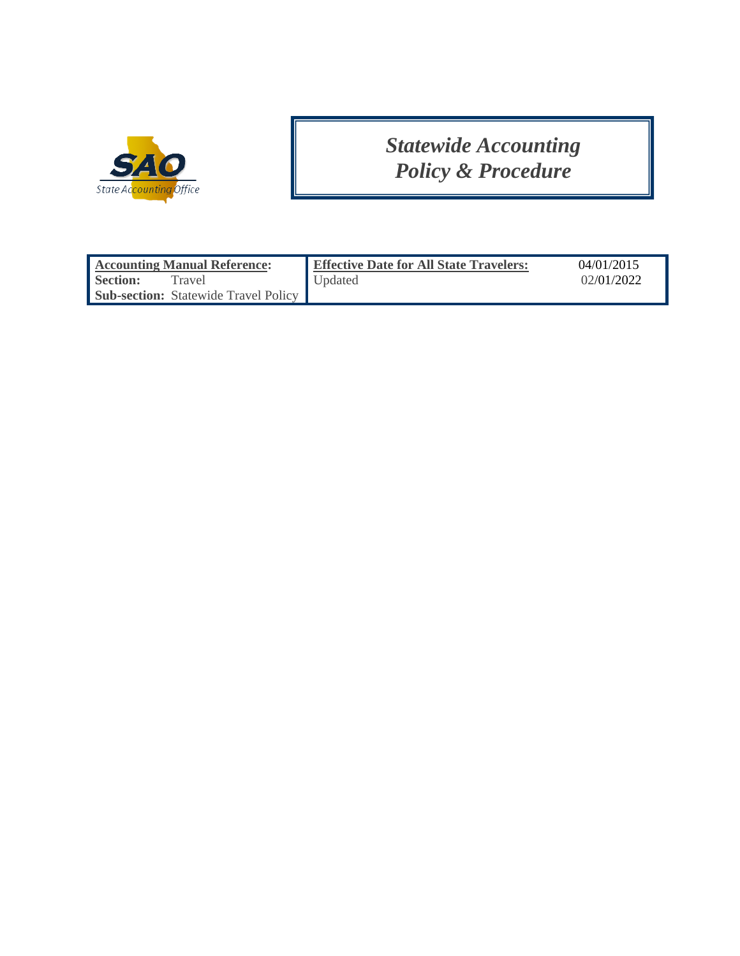

# *Statewide Accounting Policy & Procedure*

| <b>Accounting Manual Reference:</b>         | <b>Effective Date for All State Travelers:</b> | 04/01/2015 |
|---------------------------------------------|------------------------------------------------|------------|
| <b>Section:</b><br>Travel                   | Updated                                        | 02/01/2022 |
| <b>Sub-section:</b> Statewide Travel Policy |                                                |            |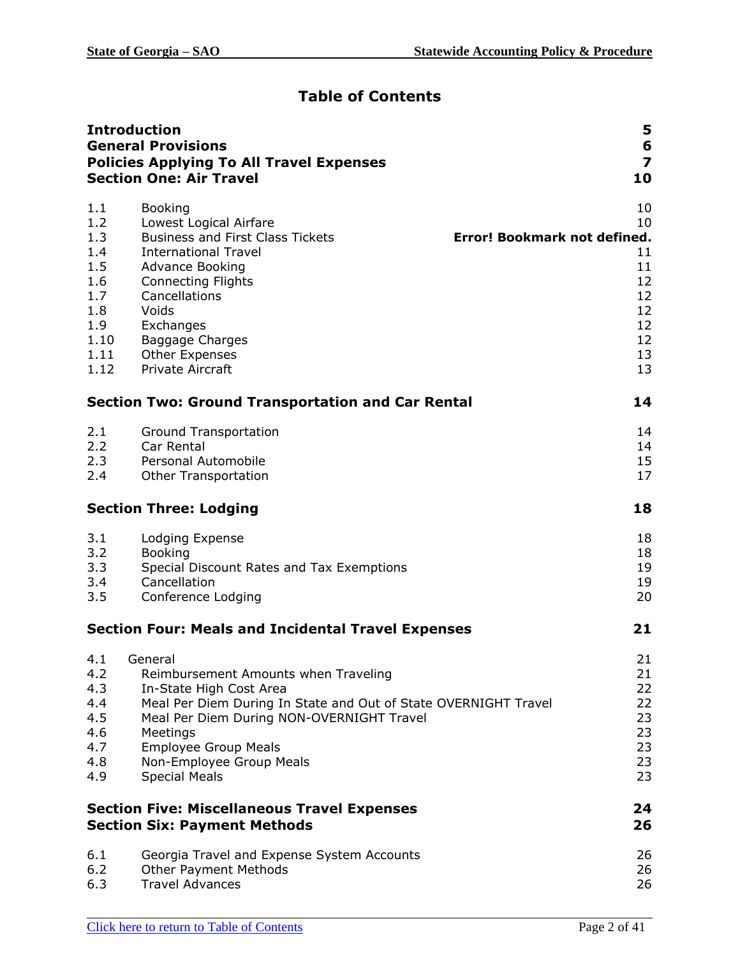# **Table of Contents**

|                                                                                     | <b>Introduction</b><br><b>General Provisions</b><br><b>Policies Applying To All Travel Expenses</b><br><b>Section One: Air Travel</b>                                                                                                                                                         | 5<br>6<br>$\overline{z}$<br>10                                                                 |
|-------------------------------------------------------------------------------------|-----------------------------------------------------------------------------------------------------------------------------------------------------------------------------------------------------------------------------------------------------------------------------------------------|------------------------------------------------------------------------------------------------|
| 1.1<br>1.2<br>1.3<br>1.4<br>1.5<br>1.6<br>1.7<br>1.8<br>1.9<br>1.10<br>1.11<br>1.12 | <b>Booking</b><br>Lowest Logical Airfare<br><b>Business and First Class Tickets</b><br><b>International Travel</b><br><b>Advance Booking</b><br><b>Connecting Flights</b><br>Cancellations<br>Voids<br>Exchanges<br><b>Baggage Charges</b><br><b>Other Expenses</b><br>Private Aircraft       | 10<br>10<br>Error! Bookmark not defined.<br>11<br>11<br>12<br>12<br>12<br>12<br>12<br>13<br>13 |
|                                                                                     | <b>Section Two: Ground Transportation and Car Rental</b>                                                                                                                                                                                                                                      | 14                                                                                             |
| 2.1<br>2.2<br>2.3<br>2.4                                                            | Ground Transportation<br>Car Rental<br><b>Personal Automobile</b><br><b>Other Transportation</b>                                                                                                                                                                                              | 14<br>14<br>15<br>17                                                                           |
|                                                                                     | <b>Section Three: Lodging</b>                                                                                                                                                                                                                                                                 | 18                                                                                             |
| 3.1<br>3.2<br>3.3<br>3.4<br>3.5                                                     | Lodging Expense<br><b>Booking</b><br>Special Discount Rates and Tax Exemptions<br>Cancellation<br>Conference Lodging                                                                                                                                                                          | 18<br>18<br>19<br>19<br>20                                                                     |
|                                                                                     | <b>Section Four: Meals and Incidental Travel Expenses</b>                                                                                                                                                                                                                                     | 21                                                                                             |
| 4.2<br>4.3<br>4.4<br>4.5<br>4.6<br>4.7<br>4.8<br>4.9                                | 4.1 General<br>Reimbursement Amounts when Traveling<br>In-State High Cost Area<br>Meal Per Diem During In State and Out of State OVERNIGHT Travel<br>Meal Per Diem During NON-OVERNIGHT Travel<br>Meetings<br><b>Employee Group Meals</b><br>Non-Employee Group Meals<br><b>Special Meals</b> | 21<br>21<br>22<br>22<br>23<br>23<br>23<br>23<br>23                                             |
|                                                                                     | <b>Section Five: Miscellaneous Travel Expenses</b><br><b>Section Six: Payment Methods</b>                                                                                                                                                                                                     | 24<br>26                                                                                       |
| 6.1<br>6.2<br>6.3                                                                   | Georgia Travel and Expense System Accounts<br><b>Other Payment Methods</b><br><b>Travel Advances</b>                                                                                                                                                                                          | 26<br>26<br>26                                                                                 |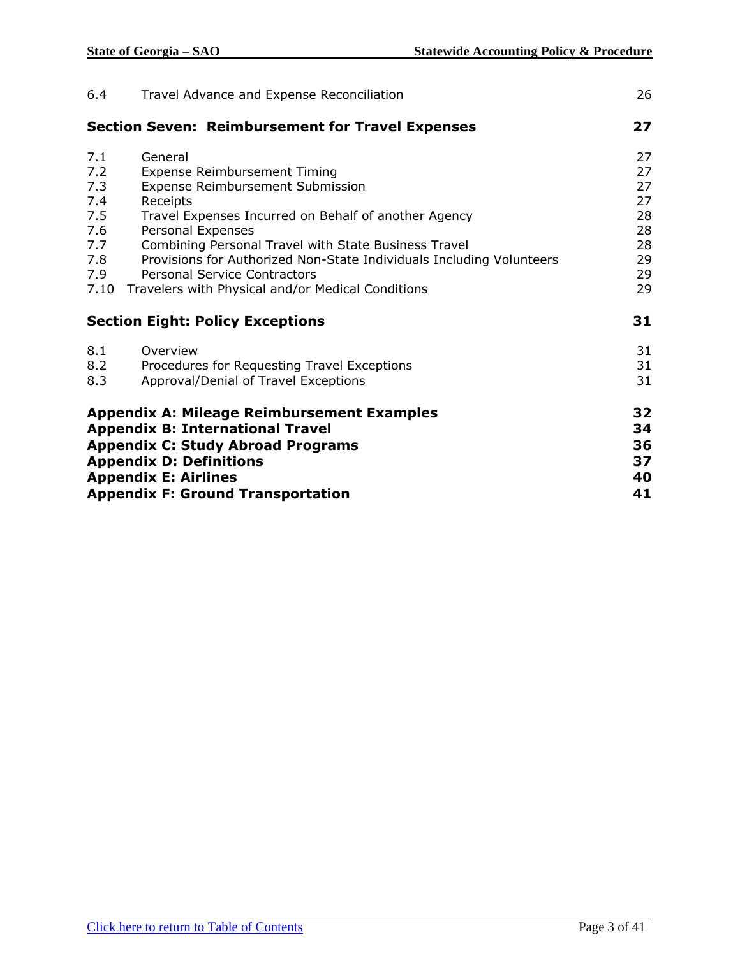| 6.4                                                                 | Travel Advance and Expense Reconciliation                                                                                                                                                                                                                                                                                                                                                        | 26                                                       |
|---------------------------------------------------------------------|--------------------------------------------------------------------------------------------------------------------------------------------------------------------------------------------------------------------------------------------------------------------------------------------------------------------------------------------------------------------------------------------------|----------------------------------------------------------|
|                                                                     | <b>Section Seven: Reimbursement for Travel Expenses</b>                                                                                                                                                                                                                                                                                                                                          | 27                                                       |
| 7.1<br>7.2<br>7.3<br>7.4<br>7.5<br>7.6<br>7.7<br>7.8<br>7.9<br>7.10 | General<br>Expense Reimbursement Timing<br>Expense Reimbursement Submission<br>Receipts<br>Travel Expenses Incurred on Behalf of another Agency<br>Personal Expenses<br>Combining Personal Travel with State Business Travel<br>Provisions for Authorized Non-State Individuals Including Volunteers<br><b>Personal Service Contractors</b><br>Travelers with Physical and/or Medical Conditions | 27<br>27<br>27<br>27<br>28<br>28<br>28<br>29<br>29<br>29 |
|                                                                     | <b>Section Eight: Policy Exceptions</b>                                                                                                                                                                                                                                                                                                                                                          | 31                                                       |
| 8.1<br>8.2<br>8.3                                                   | Overview<br>Procedures for Requesting Travel Exceptions<br>Approval/Denial of Travel Exceptions                                                                                                                                                                                                                                                                                                  | 31<br>31<br>31                                           |
|                                                                     | <b>Appendix A: Mileage Reimbursement Examples</b><br><b>Appendix B: International Travel</b><br><b>Appendix C: Study Abroad Programs</b><br><b>Appendix D: Definitions</b><br><b>Appendix E: Airlines</b><br><b>Appendix F: Ground Transportation</b>                                                                                                                                            | 32<br>34<br>36<br>37<br>40<br>41                         |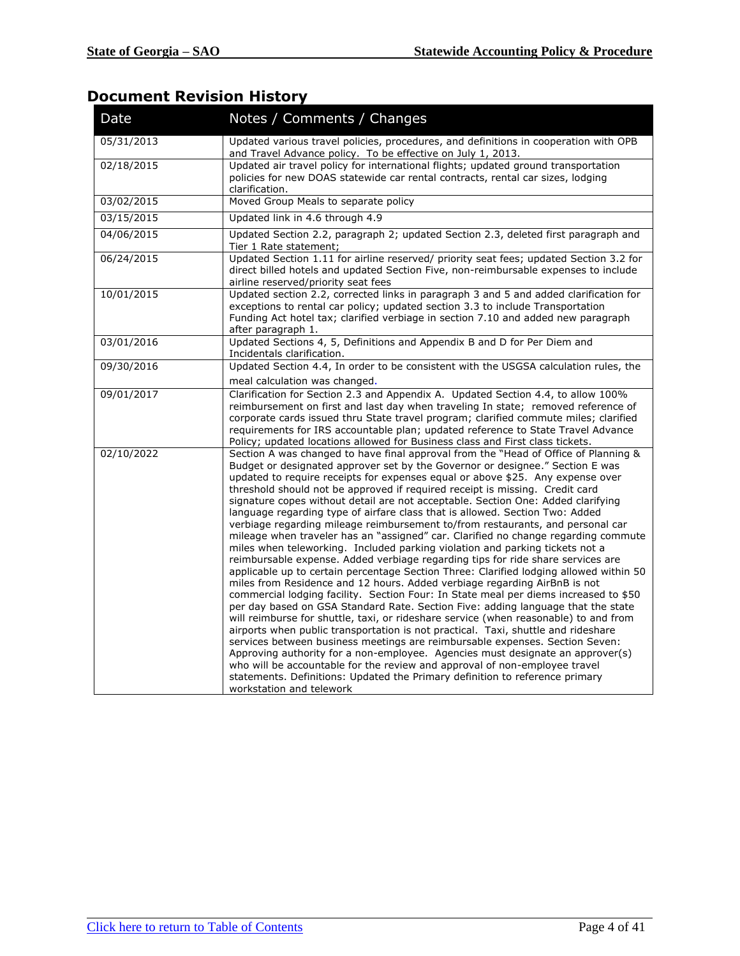# **Document Revision History**

| Date       | Notes / Comments / Changes                                                                                                                                                                                                                                                                                                                                                                                                                                                                                                                                                                                                                                                                                                                                                                                                                                                                                                                                                                                                                                                                                                                                                                                                                                                                                                                                                                                                                                                                                                                                                                                                                                                                                                                        |
|------------|---------------------------------------------------------------------------------------------------------------------------------------------------------------------------------------------------------------------------------------------------------------------------------------------------------------------------------------------------------------------------------------------------------------------------------------------------------------------------------------------------------------------------------------------------------------------------------------------------------------------------------------------------------------------------------------------------------------------------------------------------------------------------------------------------------------------------------------------------------------------------------------------------------------------------------------------------------------------------------------------------------------------------------------------------------------------------------------------------------------------------------------------------------------------------------------------------------------------------------------------------------------------------------------------------------------------------------------------------------------------------------------------------------------------------------------------------------------------------------------------------------------------------------------------------------------------------------------------------------------------------------------------------------------------------------------------------------------------------------------------------|
| 05/31/2013 | Updated various travel policies, procedures, and definitions in cooperation with OPB<br>and Travel Advance policy. To be effective on July 1, 2013.                                                                                                                                                                                                                                                                                                                                                                                                                                                                                                                                                                                                                                                                                                                                                                                                                                                                                                                                                                                                                                                                                                                                                                                                                                                                                                                                                                                                                                                                                                                                                                                               |
| 02/18/2015 | Updated air travel policy for international flights; updated ground transportation<br>policies for new DOAS statewide car rental contracts, rental car sizes, lodging<br>clarification.                                                                                                                                                                                                                                                                                                                                                                                                                                                                                                                                                                                                                                                                                                                                                                                                                                                                                                                                                                                                                                                                                                                                                                                                                                                                                                                                                                                                                                                                                                                                                           |
| 03/02/2015 | Moved Group Meals to separate policy                                                                                                                                                                                                                                                                                                                                                                                                                                                                                                                                                                                                                                                                                                                                                                                                                                                                                                                                                                                                                                                                                                                                                                                                                                                                                                                                                                                                                                                                                                                                                                                                                                                                                                              |
| 03/15/2015 | Updated link in 4.6 through 4.9                                                                                                                                                                                                                                                                                                                                                                                                                                                                                                                                                                                                                                                                                                                                                                                                                                                                                                                                                                                                                                                                                                                                                                                                                                                                                                                                                                                                                                                                                                                                                                                                                                                                                                                   |
| 04/06/2015 | Updated Section 2.2, paragraph 2; updated Section 2.3, deleted first paragraph and<br>Tier 1 Rate statement;                                                                                                                                                                                                                                                                                                                                                                                                                                                                                                                                                                                                                                                                                                                                                                                                                                                                                                                                                                                                                                                                                                                                                                                                                                                                                                                                                                                                                                                                                                                                                                                                                                      |
| 06/24/2015 | Updated Section 1.11 for airline reserved/ priority seat fees; updated Section 3.2 for<br>direct billed hotels and updated Section Five, non-reimbursable expenses to include<br>airline reserved/priority seat fees                                                                                                                                                                                                                                                                                                                                                                                                                                                                                                                                                                                                                                                                                                                                                                                                                                                                                                                                                                                                                                                                                                                                                                                                                                                                                                                                                                                                                                                                                                                              |
| 10/01/2015 | Updated section 2.2, corrected links in paragraph 3 and 5 and added clarification for<br>exceptions to rental car policy; updated section 3.3 to include Transportation<br>Funding Act hotel tax; clarified verbiage in section 7.10 and added new paragraph<br>after paragraph 1.                                                                                                                                                                                                                                                                                                                                                                                                                                                                                                                                                                                                                                                                                                                                                                                                                                                                                                                                                                                                                                                                                                                                                                                                                                                                                                                                                                                                                                                                |
| 03/01/2016 | Updated Sections 4, 5, Definitions and Appendix B and D for Per Diem and<br>Incidentals clarification.                                                                                                                                                                                                                                                                                                                                                                                                                                                                                                                                                                                                                                                                                                                                                                                                                                                                                                                                                                                                                                                                                                                                                                                                                                                                                                                                                                                                                                                                                                                                                                                                                                            |
| 09/30/2016 | Updated Section 4.4, In order to be consistent with the USGSA calculation rules, the                                                                                                                                                                                                                                                                                                                                                                                                                                                                                                                                                                                                                                                                                                                                                                                                                                                                                                                                                                                                                                                                                                                                                                                                                                                                                                                                                                                                                                                                                                                                                                                                                                                              |
|            | meal calculation was changed.                                                                                                                                                                                                                                                                                                                                                                                                                                                                                                                                                                                                                                                                                                                                                                                                                                                                                                                                                                                                                                                                                                                                                                                                                                                                                                                                                                                                                                                                                                                                                                                                                                                                                                                     |
| 09/01/2017 | Clarification for Section 2.3 and Appendix A. Updated Section 4.4, to allow 100%<br>reimbursement on first and last day when traveling In state; removed reference of<br>corporate cards issued thru State travel program; clarified commute miles; clarified<br>requirements for IRS accountable plan; updated reference to State Travel Advance<br>Policy; updated locations allowed for Business class and First class tickets.                                                                                                                                                                                                                                                                                                                                                                                                                                                                                                                                                                                                                                                                                                                                                                                                                                                                                                                                                                                                                                                                                                                                                                                                                                                                                                                |
| 02/10/2022 | Section A was changed to have final approval from the "Head of Office of Planning &<br>Budget or designated approver set by the Governor or designee." Section E was<br>updated to require receipts for expenses equal or above \$25. Any expense over<br>threshold should not be approved if required receipt is missing. Credit card<br>signature copes without detail are not acceptable. Section One: Added clarifying<br>language regarding type of airfare class that is allowed. Section Two: Added<br>verbiage regarding mileage reimbursement to/from restaurants, and personal car<br>mileage when traveler has an "assigned" car. Clarified no change regarding commute<br>miles when teleworking. Included parking violation and parking tickets not a<br>reimbursable expense. Added verbiage regarding tips for ride share services are<br>applicable up to certain percentage Section Three: Clarified lodging allowed within 50<br>miles from Residence and 12 hours. Added verbiage regarding AirBnB is not<br>commercial lodging facility. Section Four: In State meal per diems increased to \$50<br>per day based on GSA Standard Rate. Section Five: adding language that the state<br>will reimburse for shuttle, taxi, or rideshare service (when reasonable) to and from<br>airports when public transportation is not practical. Taxi, shuttle and rideshare<br>services between business meetings are reimbursable expenses. Section Seven:<br>Approving authority for a non-employee. Agencies must designate an approver(s)<br>who will be accountable for the review and approval of non-employee travel<br>statements. Definitions: Updated the Primary definition to reference primary<br>workstation and telework |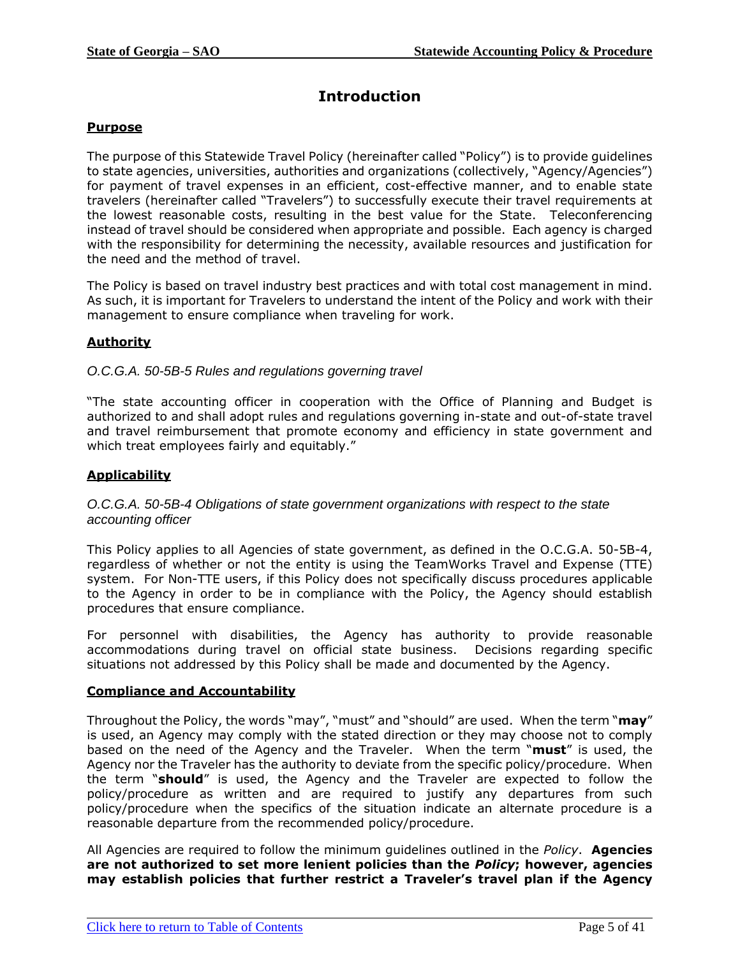# **Introduction**

### <span id="page-4-0"></span>**Purpose**

The purpose of this Statewide Travel Policy (hereinafter called "Policy") is to provide guidelines to state agencies, universities, authorities and organizations (collectively, "Agency/Agencies") for payment of travel expenses in an efficient, cost-effective manner, and to enable state travelers (hereinafter called "Travelers") to successfully execute their travel requirements at the lowest reasonable costs, resulting in the best value for the State. Teleconferencing instead of travel should be considered when appropriate and possible. Each agency is charged with the responsibility for determining the necessity, available resources and justification for the need and the method of travel.

The Policy is based on travel industry best practices and with total cost management in mind. As such, it is important for Travelers to understand the intent of the Policy and work with their management to ensure compliance when traveling for work.

# **Authority**

#### *O.C.G.A. 50-5B-5 Rules and regulations governing travel*

"The state accounting officer in cooperation with the Office of Planning and Budget is authorized to and shall adopt rules and regulations governing in-state and out-of-state travel and travel reimbursement that promote economy and efficiency in state government and which treat employees fairly and equitably."

#### **Applicability**

#### *O.C.G.A. 50-5B-4 Obligations of state government organizations with respect to the state accounting officer*

This Policy applies to all Agencies of state government, as defined in the O.C.G.A. 50-5B-4, regardless of whether or not the entity is using the TeamWorks Travel and Expense (TTE) system. For Non-TTE users, if this Policy does not specifically discuss procedures applicable to the Agency in order to be in compliance with the Policy, the Agency should establish procedures that ensure compliance.

For personnel with disabilities, the Agency has authority to provide reasonable accommodations during travel on official state business. Decisions regarding specific situations not addressed by this Policy shall be made and documented by the Agency.

#### **Compliance and Accountability**

Throughout the Policy, the words "may", "must" and "should" are used. When the term "**may**" is used, an Agency may comply with the stated direction or they may choose not to comply based on the need of the Agency and the Traveler. When the term "**must**" is used, the Agency nor the Traveler has the authority to deviate from the specific policy/procedure. When the term "**should**" is used, the Agency and the Traveler are expected to follow the policy/procedure as written and are required to justify any departures from such policy/procedure when the specifics of the situation indicate an alternate procedure is a reasonable departure from the recommended policy/procedure.

All Agencies are required to follow the minimum guidelines outlined in the *Policy*. **Agencies are not authorized to set more lenient policies than the** *Policy***; however, agencies may establish policies that further restrict a Traveler's travel plan if the Agency**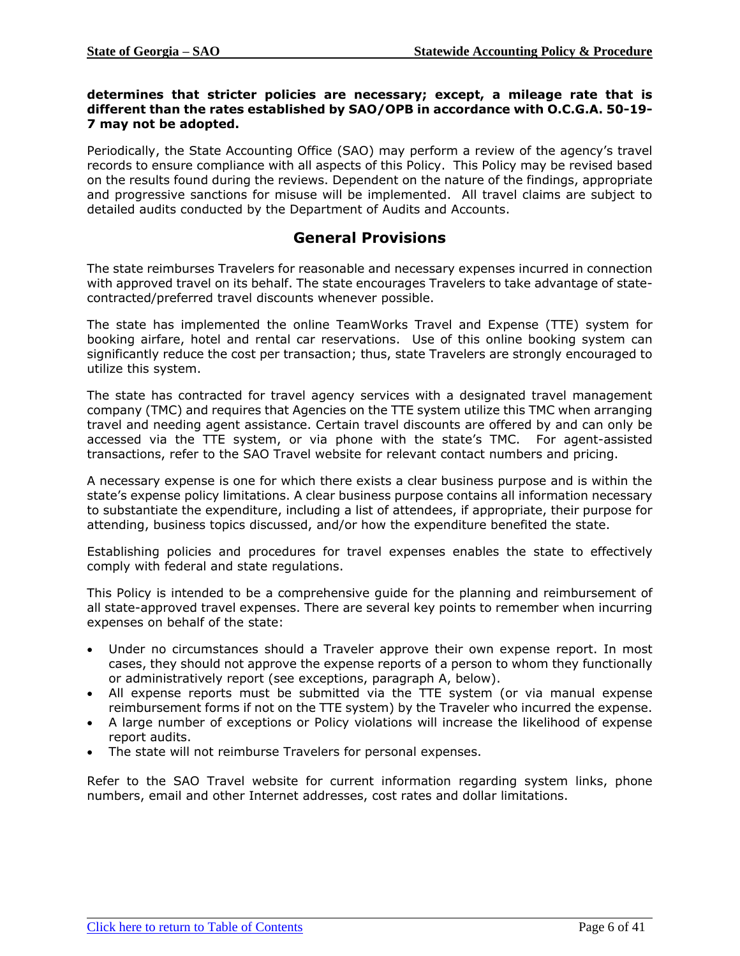#### **determines that stricter policies are necessary; except, a mileage rate that is different than the rates established by SAO/OPB in accordance with O.C.G.A. 50-19- 7 may not be adopted.**

Periodically, the State Accounting Office (SAO) may perform a review of the agency's travel records to ensure compliance with all aspects of this Policy. This Policy may be revised based on the results found during the reviews. Dependent on the nature of the findings, appropriate and progressive sanctions for misuse will be implemented. All travel claims are subject to detailed audits conducted by the Department of Audits and Accounts.

# **General Provisions**

<span id="page-5-0"></span>The state reimburses Travelers for reasonable and necessary expenses incurred in connection with approved travel on its behalf. The state encourages Travelers to take advantage of statecontracted/preferred travel discounts whenever possible.

The state has implemented the online TeamWorks Travel and Expense (TTE) system for booking airfare, hotel and rental car reservations. Use of this online booking system can significantly reduce the cost per transaction; thus, state Travelers are strongly encouraged to utilize this system.

The state has contracted for travel agency services with a designated travel management company (TMC) and requires that Agencies on the TTE system utilize this TMC when arranging travel and needing agent assistance. Certain travel discounts are offered by and can only be accessed via the TTE system, or via phone with the state's TMC. For agent-assisted transactions, refer to the SAO Travel website for relevant contact numbers and pricing.

A necessary expense is one for which there exists a clear business purpose and is within the state's expense policy limitations. A clear business purpose contains all information necessary to substantiate the expenditure, including a list of attendees, if appropriate, their purpose for attending, business topics discussed, and/or how the expenditure benefited the state.

Establishing policies and procedures for travel expenses enables the state to effectively comply with federal and state regulations.

This Policy is intended to be a comprehensive guide for the planning and reimbursement of all state-approved travel expenses. There are several key points to remember when incurring expenses on behalf of the state:

- Under no circumstances should a Traveler approve their own expense report. In most cases, they should not approve the expense reports of a person to whom they functionally or administratively report (see exceptions, paragraph A, below).
- All expense reports must be submitted via the TTE system (or via manual expense reimbursement forms if not on the TTE system) by the Traveler who incurred the expense.
- A large number of exceptions or Policy violations will increase the likelihood of expense report audits.
- The state will not reimburse Travelers for personal expenses.

Refer to the SAO Travel website for current information regarding system links, phone numbers, email and other Internet addresses, cost rates and dollar limitations.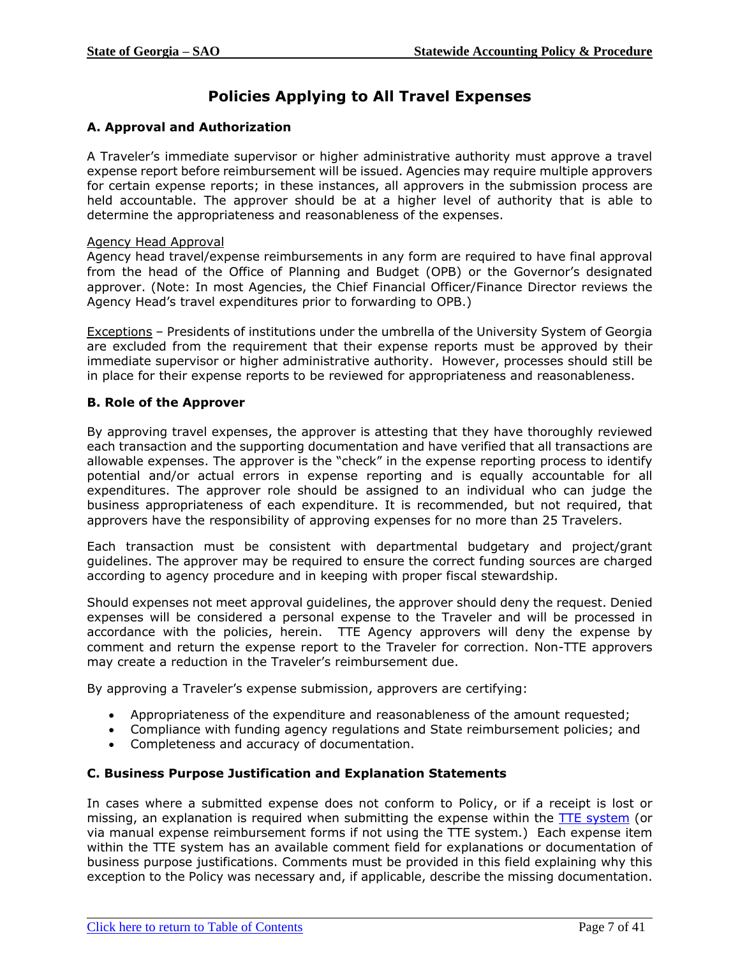# **Policies Applying to All Travel Expenses**

# <span id="page-6-0"></span>**A. Approval and Authorization**

A Traveler's immediate supervisor or higher administrative authority must approve a travel expense report before reimbursement will be issued. Agencies may require multiple approvers for certain expense reports; in these instances, all approvers in the submission process are held accountable. The approver should be at a higher level of authority that is able to determine the appropriateness and reasonableness of the expenses.

#### Agency Head Approval

Agency head travel/expense reimbursements in any form are required to have final approval from the head of the Office of Planning and Budget (OPB) or the Governor's designated approver. (Note: In most Agencies, the Chief Financial Officer/Finance Director reviews the Agency Head's travel expenditures prior to forwarding to OPB.)

Exceptions – Presidents of institutions under the umbrella of the University System of Georgia are excluded from the requirement that their expense reports must be approved by their immediate supervisor or higher administrative authority. However, processes should still be in place for their expense reports to be reviewed for appropriateness and reasonableness.

### **B. Role of the Approver**

By approving travel expenses, the approver is attesting that they have thoroughly reviewed each transaction and the supporting documentation and have verified that all transactions are allowable expenses. The approver is the "check" in the expense reporting process to identify potential and/or actual errors in expense reporting and is equally accountable for all expenditures. The approver role should be assigned to an individual who can judge the business appropriateness of each expenditure. It is recommended, but not required, that approvers have the responsibility of approving expenses for no more than 25 Travelers.

Each transaction must be consistent with departmental budgetary and project/grant guidelines. The approver may be required to ensure the correct funding sources are charged according to agency procedure and in keeping with proper fiscal stewardship.

Should expenses not meet approval guidelines, the approver should deny the request. Denied expenses will be considered a personal expense to the Traveler and will be processed in accordance with the policies, herein. TTE Agency approvers will deny the expense by comment and return the expense report to the Traveler for correction. Non-TTE approvers may create a reduction in the Traveler's reimbursement due.

By approving a Traveler's expense submission, approvers are certifying:

- Appropriateness of the expenditure and reasonableness of the amount requested;
- Compliance with funding agency regulations and State reimbursement policies; and
- Completeness and accuracy of documentation.

#### **C. Business Purpose Justification and Explanation Statements**

In cases where a submitted expense does not conform to Policy, or if a receipt is lost or missing, an explanation is required when submitting the expense within the [TTE system](https://www.concursolutions.com/default2.asp) (or via manual expense reimbursement forms if not using the TTE system.) Each expense item within the TTE system has an available comment field for explanations or documentation of business purpose justifications. Comments must be provided in this field explaining why this exception to the Policy was necessary and, if applicable, describe the missing documentation.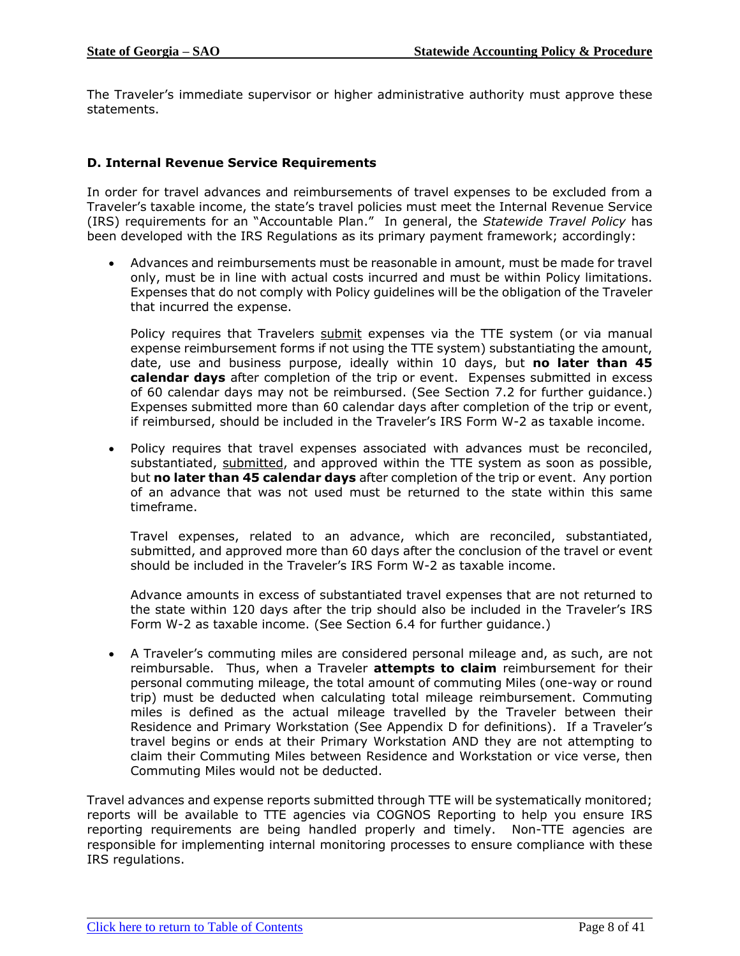The Traveler's immediate supervisor or higher administrative authority must approve these statements.

# **D. Internal Revenue Service Requirements**

In order for travel advances and reimbursements of travel expenses to be excluded from a Traveler's taxable income, the state's travel policies must meet the Internal Revenue Service (IRS) requirements for an "Accountable Plan." In general, the *Statewide Travel Policy* has been developed with the IRS Regulations as its primary payment framework; accordingly:

• Advances and reimbursements must be reasonable in amount, must be made for travel only, must be in line with actual costs incurred and must be within Policy limitations. Expenses that do not comply with Policy guidelines will be the obligation of the Traveler that incurred the expense.

Policy requires that Travelers submit expenses via the TTE system (or via manual expense reimbursement forms if not using the TTE system) substantiating the amount, date, use and business purpose, ideally within 10 days, but **no later than 45 calendar days** after completion of the trip or event. Expenses submitted in excess of 60 calendar days may not be reimbursed. (See Section 7.2 for further guidance.) Expenses submitted more than 60 calendar days after completion of the trip or event, if reimbursed, should be included in the Traveler's IRS Form W-2 as taxable income.

• Policy requires that travel expenses associated with advances must be reconciled, substantiated, submitted, and approved within the TTE system as soon as possible, but **no later than 45 calendar days** after completion of the trip or event. Any portion of an advance that was not used must be returned to the state within this same timeframe.

Travel expenses, related to an advance, which are reconciled, substantiated, submitted, and approved more than 60 days after the conclusion of the travel or event should be included in the Traveler's IRS Form W-2 as taxable income.

Advance amounts in excess of substantiated travel expenses that are not returned to the state within 120 days after the trip should also be included in the Traveler's IRS Form W-2 as taxable income. (See Section 6.4 for further guidance.)

• A Traveler's commuting miles are considered personal mileage and, as such, are not reimbursable. Thus, when a Traveler **attempts to claim** reimbursement for their personal commuting mileage, the total amount of commuting Miles (one-way or round trip) must be deducted when calculating total mileage reimbursement. Commuting miles is defined as the actual mileage travelled by the Traveler between their Residence and Primary Workstation (See Appendix D for definitions). If a Traveler's travel begins or ends at their Primary Workstation AND they are not attempting to claim their Commuting Miles between Residence and Workstation or vice verse, then Commuting Miles would not be deducted.

Travel advances and expense reports submitted through TTE will be systematically monitored; reports will be available to TTE agencies via COGNOS Reporting to help you ensure IRS reporting requirements are being handled properly and timely. Non-TTE agencies are responsible for implementing internal monitoring processes to ensure compliance with these IRS regulations.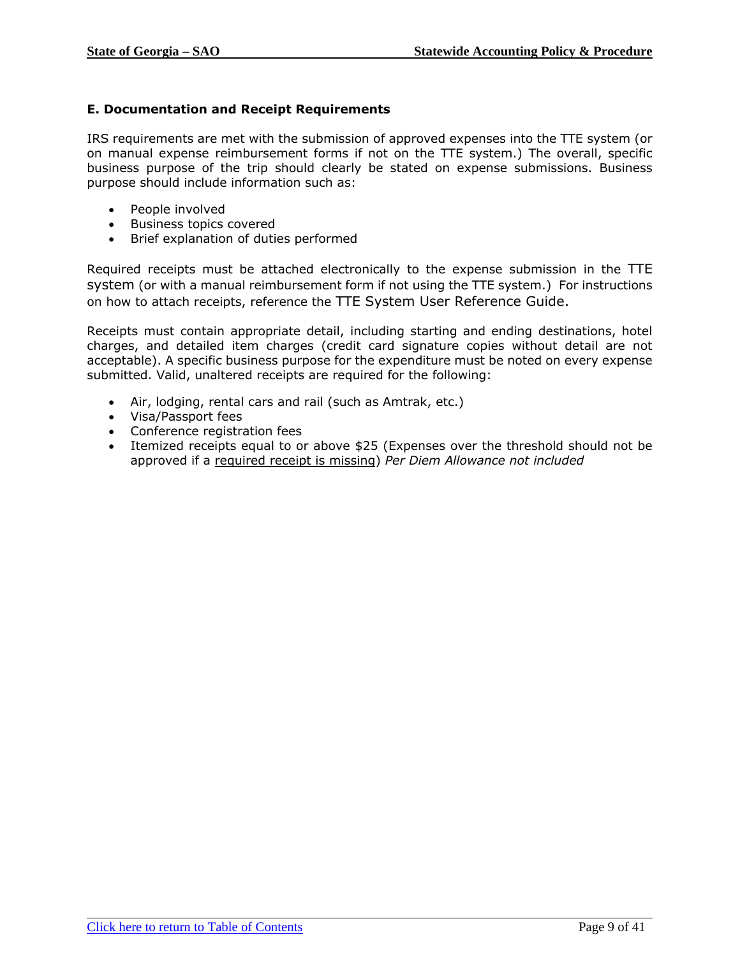# **E. Documentation and Receipt Requirements**

IRS requirements are met with the submission of approved expenses into the TTE system (or on manual expense reimbursement forms if not on the TTE system.) The overall, specific business purpose of the trip should clearly be stated on expense submissions. Business purpose should include information such as:

- People involved
- Business topics covered
- Brief explanation of duties performed

Required receipts must be attached electronically to the expense submission in the TTE system (or with a manual reimbursement form if not using the TTE system.) For instructions on how to attach receipts, reference the TTE System User Reference Guide.

Receipts must contain appropriate detail, including starting and ending destinations, hotel charges, and detailed item charges (credit card signature copies without detail are not acceptable). A specific business purpose for the expenditure must be noted on every expense submitted. Valid, unaltered receipts are required for the following:

- Air, lodging, rental cars and rail (such as Amtrak, etc.)
- Visa/Passport fees
- Conference registration fees
- Itemized receipts equal to or above \$25 (Expenses over the threshold should not be approved if a required receipt is missing) *Per Diem Allowance not included*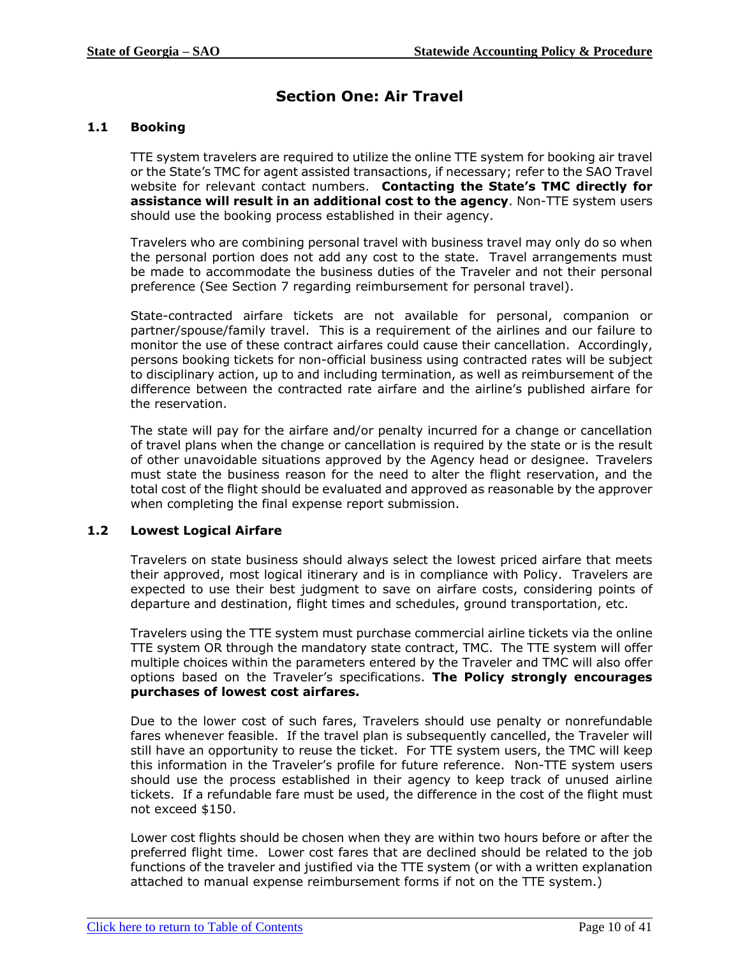# **Section One: Air Travel**

# <span id="page-9-2"></span><span id="page-9-0"></span>**1.1 Booking**

TTE system travelers are required to utilize the online TTE system for booking air travel or the State's TMC for agent assisted transactions, if necessary; refer to the SAO Travel website for relevant contact numbers. **Contacting the State's TMC directly for assistance will result in an additional cost to the agency**. Non-TTE system users should use the booking process established in their agency.

Travelers who are combining personal travel with business travel may only do so when the personal portion does not add any cost to the state. Travel arrangements must be made to accommodate the business duties of the Traveler and not their personal preference (See Section 7 regarding reimbursement for personal travel).

State-contracted airfare tickets are not available for personal, companion or partner/spouse/family travel. This is a requirement of the airlines and our failure to monitor the use of these contract airfares could cause their cancellation. Accordingly, persons booking tickets for non-official business using contracted rates will be subject to disciplinary action, up to and including termination, as well as reimbursement of the difference between the contracted rate airfare and the airline's published airfare for the reservation.

The state will pay for the airfare and/or penalty incurred for a change or cancellation of travel plans when the change or cancellation is required by the state or is the result of other unavoidable situations approved by the Agency head or designee. Travelers must state the business reason for the need to alter the flight reservation, and the total cost of the flight should be evaluated and approved as reasonable by the approver when completing the final expense report submission.

#### <span id="page-9-1"></span>**1.2 Lowest Logical Airfare**

Travelers on state business should always select the lowest priced airfare that meets their approved, most logical itinerary and is in compliance with Policy. Travelers are expected to use their best judgment to save on airfare costs, considering points of departure and destination, flight times and schedules, ground transportation, etc.

Travelers using the TTE system must purchase commercial airline tickets via the online TTE system OR through the mandatory state contract, TMC. The TTE system will offer multiple choices within the parameters entered by the Traveler and TMC will also offer options based on the Traveler's specifications. **The Policy strongly encourages purchases of lowest cost airfares.**

Due to the lower cost of such fares, Travelers should use penalty or nonrefundable fares whenever feasible. If the travel plan is subsequently cancelled, the Traveler will still have an opportunity to reuse the ticket. For TTE system users, the TMC will keep this information in the Traveler's profile for future reference. Non-TTE system users should use the process established in their agency to keep track of unused airline tickets. If a refundable fare must be used, the difference in the cost of the flight must not exceed \$150.

Lower cost flights should be chosen when they are within two hours before or after the preferred flight time. Lower cost fares that are declined should be related to the job functions of the traveler and justified via the TTE system (or with a written explanation attached to manual expense reimbursement forms if not on the TTE system.)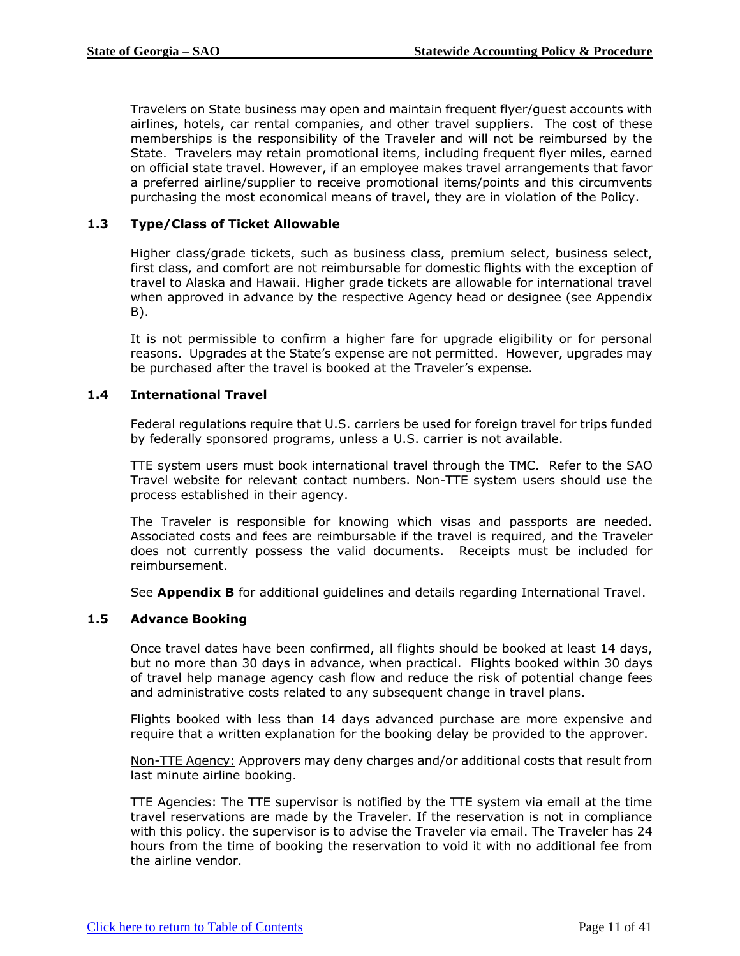Travelers on State business may open and maintain frequent flyer/guest accounts with airlines, hotels, car rental companies, and other travel suppliers. The cost of these memberships is the responsibility of the Traveler and will not be reimbursed by the State. Travelers may retain promotional items, including frequent flyer miles, earned on official state travel. However, if an employee makes travel arrangements that favor a preferred airline/supplier to receive promotional items/points and this circumvents purchasing the most economical means of travel, they are in violation of the Policy.

# **1.3 Type/Class of Ticket Allowable**

Higher class/grade tickets, such as business class, premium select, business select, first class, and comfort are not reimbursable for domestic flights with the exception of travel to Alaska and Hawaii. Higher grade tickets are allowable for international travel when approved in advance by the respective Agency head or designee (see Appendix B).

It is not permissible to confirm a higher fare for upgrade eligibility or for personal reasons. Upgrades at the State's expense are not permitted. However, upgrades may be purchased after the travel is booked at the Traveler's expense.

#### <span id="page-10-0"></span>**1.4 International Travel**

Federal regulations require that U.S. carriers be used for foreign travel for trips funded by federally sponsored programs, unless a U.S. carrier is not available.

TTE system users must book international travel through the TMC. Refer to the SAO Travel website for relevant contact numbers. Non-TTE system users should use the process established in their agency.

The Traveler is responsible for knowing which visas and passports are needed. Associated costs and fees are reimbursable if the travel is required, and the Traveler does not currently possess the valid documents. Receipts must be included for reimbursement.

See **Appendix B** for additional guidelines and details regarding International Travel.

### <span id="page-10-1"></span>**1.5 Advance Booking**

Once travel dates have been confirmed, all flights should be booked at least 14 days, but no more than 30 days in advance, when practical. Flights booked within 30 days of travel help manage agency cash flow and reduce the risk of potential change fees and administrative costs related to any subsequent change in travel plans.

Flights booked with less than 14 days advanced purchase are more expensive and require that a written explanation for the booking delay be provided to the approver.

Non-TTE Agency: Approvers may deny charges and/or additional costs that result from last minute airline booking.

TTE Agencies: The TTE supervisor is notified by the TTE system via email at the time travel reservations are made by the Traveler. If the reservation is not in compliance with this policy. the supervisor is to advise the Traveler via email. The Traveler has 24 hours from the time of booking the reservation to void it with no additional fee from the airline vendor.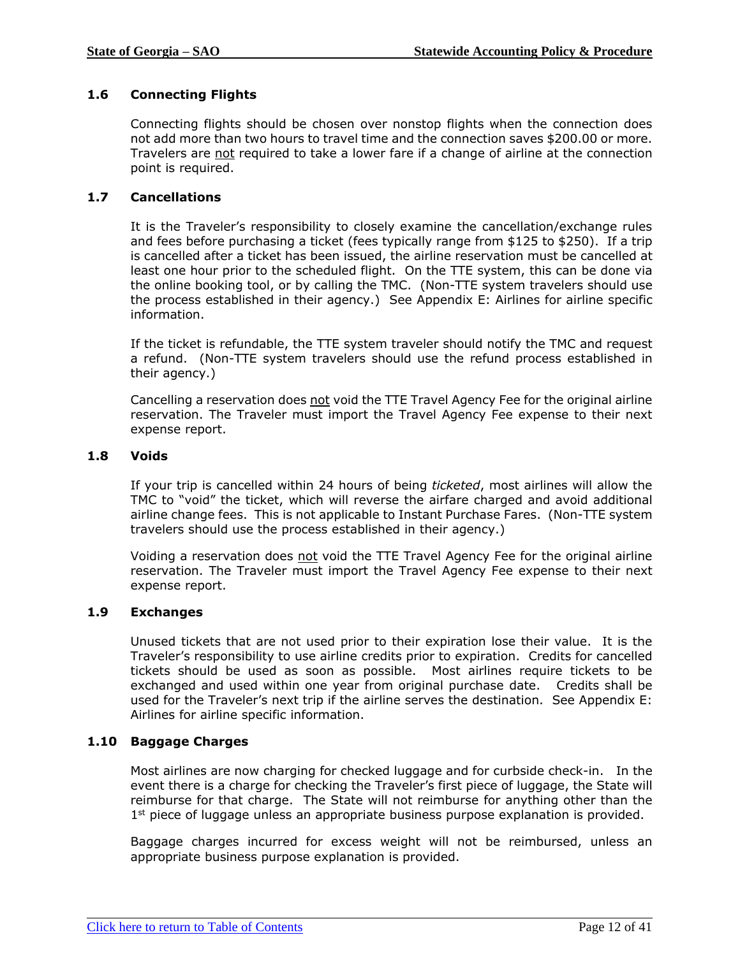# <span id="page-11-0"></span>**1.6 Connecting Flights**

Connecting flights should be chosen over nonstop flights when the connection does not add more than two hours to travel time and the connection saves \$200.00 or more. Travelers are not required to take a lower fare if a change of airline at the connection point is required.

#### <span id="page-11-1"></span>**1.7 Cancellations**

It is the Traveler's responsibility to closely examine the cancellation/exchange rules and fees before purchasing a ticket (fees typically range from \$125 to \$250). If a trip is cancelled after a ticket has been issued, the airline reservation must be cancelled at least one hour prior to the scheduled flight. On the TTE system, this can be done via the online booking tool, or by calling the TMC. (Non-TTE system travelers should use the process established in their agency.) See Appendix E: Airlines for airline specific information.

If the ticket is refundable, the TTE system traveler should notify the TMC and request a refund. (Non-TTE system travelers should use the refund process established in their agency.)

Cancelling a reservation does not void the TTE Travel Agency Fee for the original airline reservation. The Traveler must import the Travel Agency Fee expense to their next expense report.

#### <span id="page-11-2"></span>**1.8 Voids**

If your trip is cancelled within 24 hours of being *ticketed*, most airlines will allow the TMC to "void" the ticket, which will reverse the airfare charged and avoid additional airline change fees.This is not applicable to Instant Purchase Fares. (Non-TTE system travelers should use the process established in their agency.)

Voiding a reservation does not void the TTE Travel Agency Fee for the original airline reservation. The Traveler must import the Travel Agency Fee expense to their next expense report.

#### <span id="page-11-3"></span>**1.9 Exchanges**

Unused tickets that are not used prior to their expiration lose their value. It is the Traveler's responsibility to use airline credits prior to expiration. Credits for cancelled tickets should be used as soon as possible. Most airlines require tickets to be exchanged and used within one year from original purchase date. Credits shall be used for the Traveler's next trip if the airline serves the destination. See Appendix E: Airlines for airline specific information.

#### <span id="page-11-4"></span>**1.10 Baggage Charges**

Most airlines are now charging for checked luggage and for curbside check-in. In the event there is a charge for checking the Traveler's first piece of luggage, the State will reimburse for that charge. The State will not reimburse for anything other than the 1<sup>st</sup> piece of luggage unless an appropriate business purpose explanation is provided.

Baggage charges incurred for excess weight will not be reimbursed, unless an appropriate business purpose explanation is provided.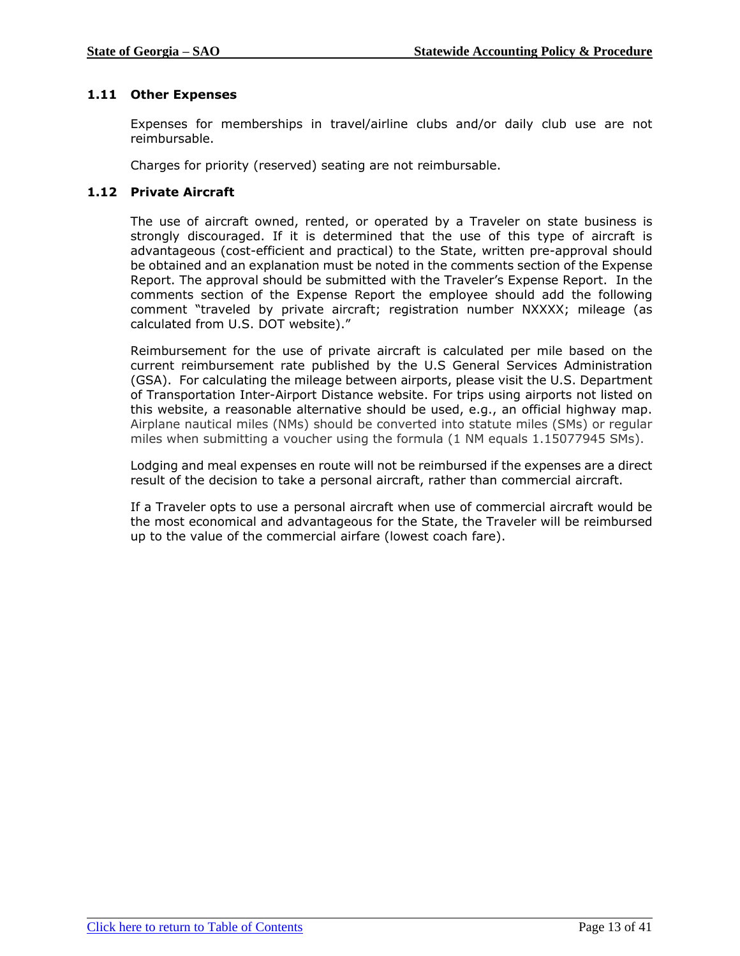# <span id="page-12-0"></span>**1.11 Other Expenses**

Expenses for memberships in travel/airline clubs and/or daily club use are not reimbursable.

Charges for priority (reserved) seating are not reimbursable.

### <span id="page-12-1"></span>**1.12 Private Aircraft**

The use of aircraft owned, rented, or operated by a Traveler on state business is strongly discouraged. If it is determined that the use of this type of aircraft is advantageous (cost-efficient and practical) to the State, written pre-approval should be obtained and an explanation must be noted in the comments section of the Expense Report. The approval should be submitted with the Traveler's Expense Report. In the comments section of the Expense Report the employee should add the following comment "traveled by private aircraft; registration number NXXXX; mileage (as calculated from U.S. DOT website)."

Reimbursement for the use of private aircraft is calculated per mile based on the current reimbursement rate published by the U.S General Services Administration (GSA). For calculating the mileage between airports, please visit the U.S. Department of Transportation Inter-Airport Distance website. For trips using airports not listed on this website, a reasonable alternative should be used, e.g., an official highway map. Airplane nautical miles (NMs) should be converted into statute miles (SMs) or regular miles when submitting a voucher using the formula (1 NM equals 1.15077945 SMs).

Lodging and meal expenses en route will not be reimbursed if the expenses are a direct result of the decision to take a personal aircraft, rather than commercial aircraft.

If a Traveler opts to use a personal aircraft when use of commercial aircraft would be the most economical and advantageous for the State, the Traveler will be reimbursed up to the value of the commercial airfare (lowest coach fare).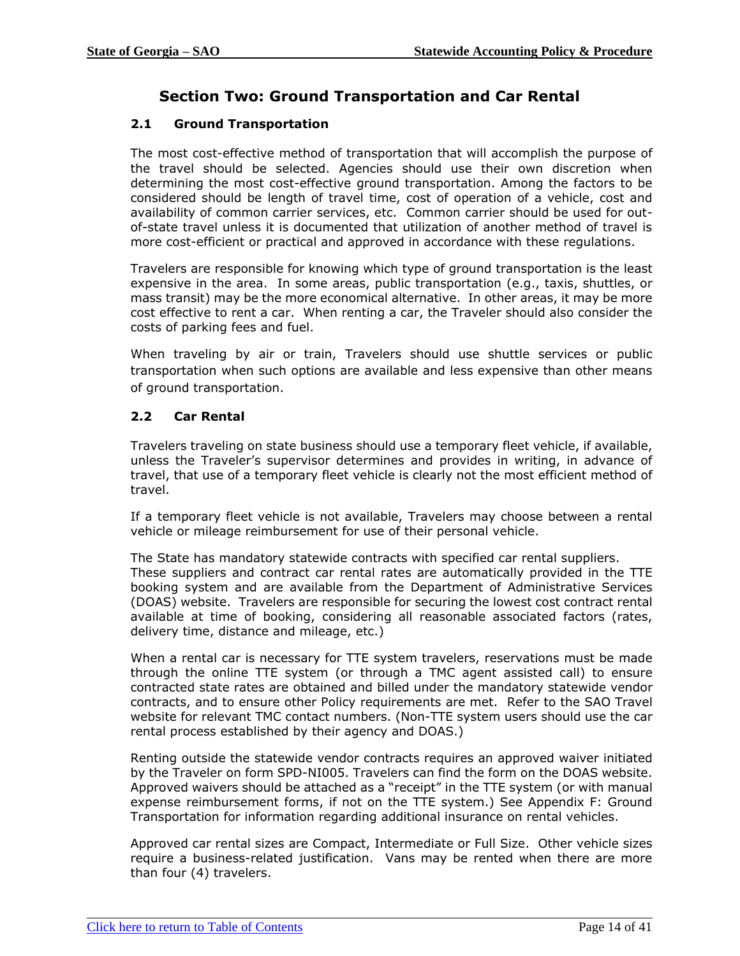# **Section Two: Ground Transportation and Car Rental**

# <span id="page-13-2"></span><span id="page-13-0"></span>**2.1 Ground Transportation**

The most cost-effective method of transportation that will accomplish the purpose of the travel should be selected. Agencies should use their own discretion when determining the most cost-effective ground transportation. Among the factors to be considered should be length of travel time, cost of operation of a vehicle, cost and availability of common carrier services, etc. Common carrier should be used for outof-state travel unless it is documented that utilization of another method of travel is more cost-efficient or practical and approved in accordance with these regulations.

Travelers are responsible for knowing which type of ground transportation is the least expensive in the area. In some areas, public transportation (e.g., taxis, shuttles, or mass transit) may be the more economical alternative. In other areas, it may be more cost effective to rent a car. When renting a car, the Traveler should also consider the costs of parking fees and fuel.

When traveling by air or train, Travelers should use shuttle services or public transportation when such options are available and less expensive than other means of ground transportation.

# <span id="page-13-1"></span>**2.2 Car Rental**

Travelers traveling on state business should use a temporary fleet vehicle, if available, unless the Traveler's supervisor determines and provides in writing, in advance of travel, that use of a temporary fleet vehicle is clearly not the most efficient method of travel.

If a temporary fleet vehicle is not available, Travelers may choose between a rental vehicle or mileage reimbursement for use of their personal vehicle.

The State has mandatory statewide contracts with specified car rental suppliers. These suppliers and contract car rental rates are automatically provided in the TTE booking system and are available from the Department of Administrative Services (DOAS) website. Travelers are responsible for securing the lowest cost contract rental available at time of booking, considering all reasonable associated factors (rates, delivery time, distance and mileage, etc.)

When a rental car is necessary for TTE system travelers, reservations must be made through the online TTE system (or through a TMC agent assisted call) to ensure contracted state rates are obtained and billed under the mandatory statewide vendor contracts, and to ensure other Policy requirements are met. Refer to the SAO Travel website for relevant TMC contact numbers. (Non-TTE system users should use the car rental process established by their agency and DOAS.)

Renting outside the statewide vendor contracts requires an approved waiver initiated by the Traveler on form SPD-NI005. Travelers can find the form on the DOAS website. Approved waivers should be attached as a "receipt" in the TTE system (or with manual expense reimbursement forms, if not on the TTE system.) See Appendix F: Ground Transportation for information regarding additional insurance on rental vehicles.

Approved car rental sizes are Compact, Intermediate or Full Size. Other vehicle sizes require a business-related justification. Vans may be rented when there are more than four (4) travelers.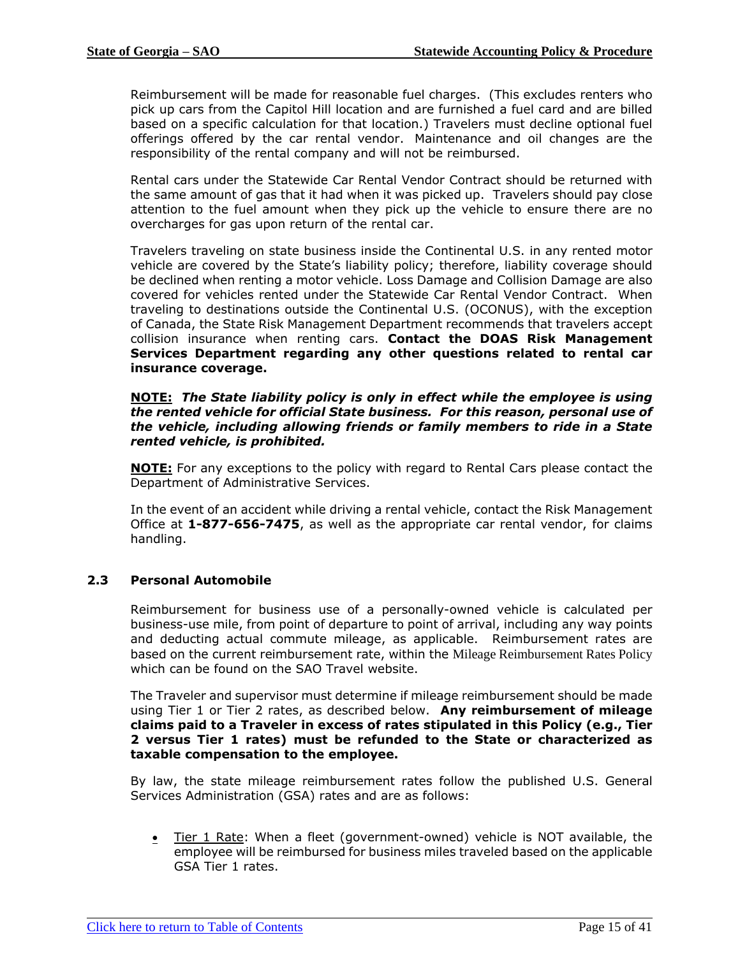Reimbursement will be made for reasonable fuel charges. (This excludes renters who pick up cars from the Capitol Hill location and are furnished a fuel card and are billed based on a specific calculation for that location.) Travelers must decline optional fuel offerings offered by the car rental vendor. Maintenance and oil changes are the responsibility of the rental company and will not be reimbursed.

Rental cars under the Statewide Car Rental Vendor Contract should be returned with the same amount of gas that it had when it was picked up. Travelers should pay close attention to the fuel amount when they pick up the vehicle to ensure there are no overcharges for gas upon return of the rental car.

Travelers traveling on state business inside the Continental U.S. in any rented motor vehicle are covered by the State's liability policy; therefore, liability coverage should be declined when renting a motor vehicle. Loss Damage and Collision Damage are also covered for vehicles rented under the Statewide Car Rental Vendor Contract. When traveling to destinations outside the Continental U.S. (OCONUS), with the exception of Canada, the State Risk Management Department recommends that travelers accept collision insurance when renting cars. **Contact the DOAS Risk Management Services Department regarding any other questions related to rental car insurance coverage.** 

#### **NOTE:** *The State liability policy is only in effect while the employee is using the rented vehicle for official State business. For this reason, personal use of the vehicle, including allowing friends or family members to ride in a State rented vehicle, is prohibited.*

**NOTE:** For any exceptions to the policy with regard to Rental Cars please contact the Department of Administrative Services.

In the event of an accident while driving a rental vehicle, contact the Risk Management Office at **1-877-656-7475**, as well as the appropriate car rental vendor, for claims handling.

#### <span id="page-14-0"></span>**2.3 Personal Automobile**

Reimbursement for business use of a personally-owned vehicle is calculated per business-use mile, from point of departure to point of arrival, including any way points and deducting actual commute mileage, as applicable. Reimbursement rates are based on the current reimbursement rate, within the Mileage Reimbursement Rates Policy which can be found on the SAO Travel website.

The Traveler and supervisor must determine if mileage reimbursement should be made using Tier 1 or Tier 2 rates, as described below. **Any reimbursement of mileage claims paid to a Traveler in excess of rates stipulated in this Policy (e.g., Tier 2 versus Tier 1 rates) must be refunded to the State or characterized as taxable compensation to the employee.**

By law, the state mileage reimbursement rates follow the published U.S. General Services Administration (GSA) rates and are as follows:

• Tier 1 Rate: When a fleet (government-owned) vehicle is NOT available, the employee will be reimbursed for business miles traveled based on the applicable GSA Tier 1 rates.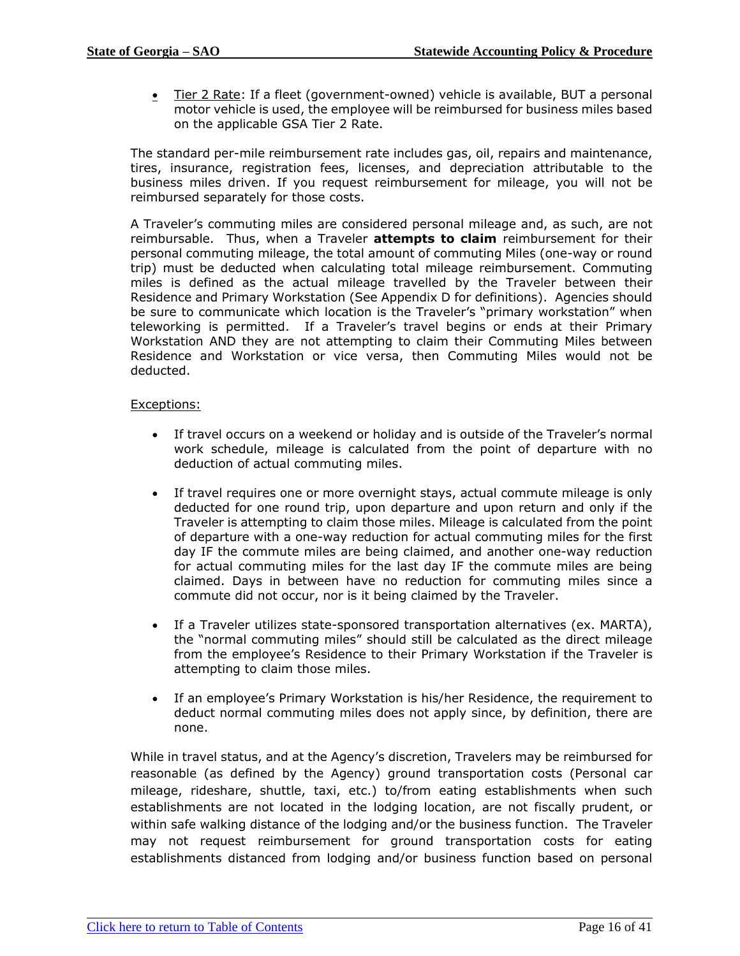• Tier 2 Rate: If a fleet (government-owned) vehicle is available, BUT a personal motor vehicle is used, the employee will be reimbursed for business miles based on the applicable GSA Tier 2 Rate.

The standard per-mile reimbursement rate includes gas, oil, repairs and maintenance, tires, insurance, registration fees, licenses, and depreciation attributable to the business miles driven. If you request reimbursement for mileage, you will not be reimbursed separately for those costs.

A Traveler's commuting miles are considered personal mileage and, as such, are not reimbursable. Thus, when a Traveler **attempts to claim** reimbursement for their personal commuting mileage, the total amount of commuting Miles (one-way or round trip) must be deducted when calculating total mileage reimbursement. Commuting miles is defined as the actual mileage travelled by the Traveler between their Residence and Primary Workstation (See Appendix D for definitions). Agencies should be sure to communicate which location is the Traveler's "primary workstation" when teleworking is permitted.If a Traveler's travel begins or ends at their Primary Workstation AND they are not attempting to claim their Commuting Miles between Residence and Workstation or vice versa, then Commuting Miles would not be deducted.

### Exceptions:

- If travel occurs on a weekend or holiday and is outside of the Traveler's normal work schedule, mileage is calculated from the point of departure with no deduction of actual commuting miles.
- If travel requires one or more overnight stays, actual commute mileage is only deducted for one round trip, upon departure and upon return and only if the Traveler is attempting to claim those miles. Mileage is calculated from the point of departure with a one-way reduction for actual commuting miles for the first day IF the commute miles are being claimed, and another one-way reduction for actual commuting miles for the last day IF the commute miles are being claimed. Days in between have no reduction for commuting miles since a commute did not occur, nor is it being claimed by the Traveler.
- If a Traveler utilizes state-sponsored transportation alternatives (ex. MARTA), the "normal commuting miles" should still be calculated as the direct mileage from the employee's Residence to their Primary Workstation if the Traveler is attempting to claim those miles.
- If an employee's Primary Workstation is his/her Residence, the requirement to deduct normal commuting miles does not apply since, by definition, there are none.

While in travel status, and at the Agency's discretion, Travelers may be reimbursed for reasonable (as defined by the Agency) ground transportation costs (Personal car mileage, rideshare, shuttle, taxi, etc.) to/from eating establishments when such establishments are not located in the lodging location, are not fiscally prudent, or within safe walking distance of the lodging and/or the business function. The Traveler may not request reimbursement for ground transportation costs for eating establishments distanced from lodging and/or business function based on personal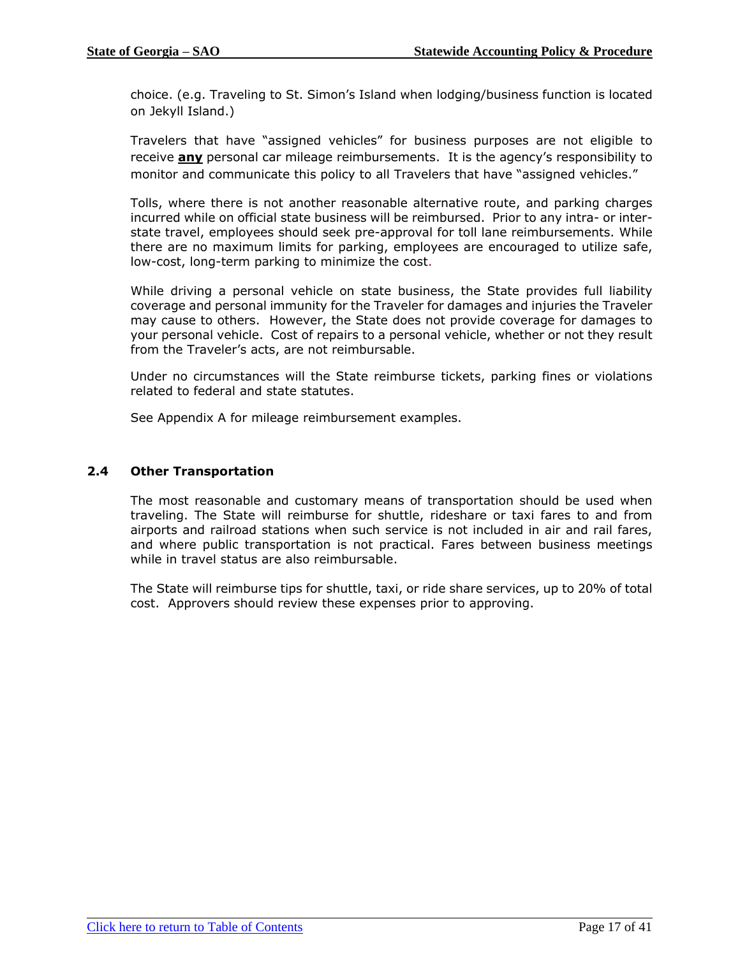choice. (e.g. Traveling to St. Simon's Island when lodging/business function is located on Jekyll Island.)

Travelers that have "assigned vehicles" for business purposes are not eligible to receive **any** personal car mileage reimbursements. It is the agency's responsibility to monitor and communicate this policy to all Travelers that have "assigned vehicles."

Tolls, where there is not another reasonable alternative route, and parking charges incurred while on official state business will be reimbursed. Prior to any intra- or interstate travel, employees should seek pre-approval for toll lane reimbursements. While there are no maximum limits for parking, employees are encouraged to utilize safe, low-cost, long-term parking to minimize the cost.

While driving a personal vehicle on state business, the State provides full liability coverage and personal immunity for the Traveler for damages and injuries the Traveler may cause to others. However, the State does not provide coverage for damages to your personal vehicle. Cost of repairs to a personal vehicle, whether or not they result from the Traveler's acts, are not reimbursable.

Under no circumstances will the State reimburse tickets, parking fines or violations related to federal and state statutes.

See Appendix A for mileage reimbursement examples.

#### <span id="page-16-0"></span>**2.4 Other Transportation**

The most reasonable and customary means of transportation should be used when traveling. The State will reimburse for shuttle, rideshare or taxi fares to and from airports and railroad stations when such service is not included in air and rail fares, and where public transportation is not practical. Fares between business meetings while in travel status are also reimbursable.

The State will reimburse tips for shuttle, taxi, or ride share services, up to 20% of total cost. Approvers should review these expenses prior to approving.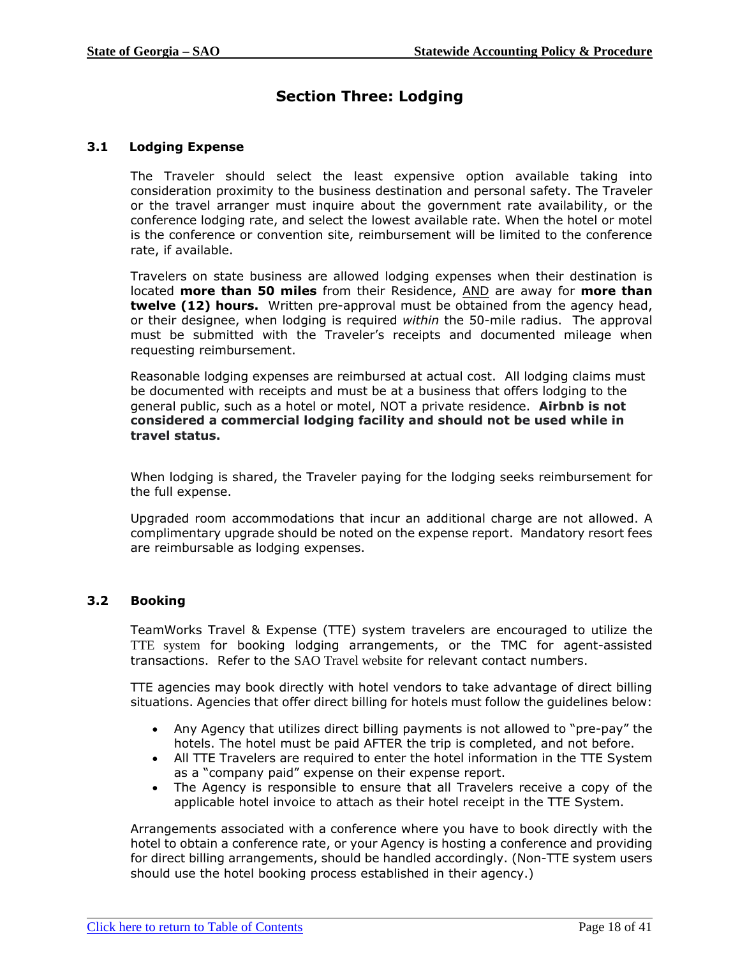# **Section Three: Lodging**

# <span id="page-17-2"></span>**3.1 Lodging Expense**

<span id="page-17-0"></span>The Traveler should select the least expensive option available taking into consideration proximity to the business destination and personal safety. The Traveler or the travel arranger must inquire about the government rate availability, or the conference lodging rate, and select the lowest available rate. When the hotel or motel is the conference or convention site, reimbursement will be limited to the conference rate, if available.

Travelers on state business are allowed lodging expenses when their destination is located **more than 50 miles** from their Residence, AND are away for **more than twelve (12) hours.** Written pre-approval must be obtained from the agency head, or their designee, when lodging is required *within* the 50-mile radius. The approval must be submitted with the Traveler's receipts and documented mileage when requesting reimbursement.

Reasonable lodging expenses are reimbursed at actual cost. All lodging claims must be documented with receipts and must be at a business that offers lodging to the general public, such as a hotel or motel, NOT a private residence. **Airbnb is not considered a commercial lodging facility and should not be used while in travel status.**

When lodging is shared, the Traveler paying for the lodging seeks reimbursement for the full expense.

Upgraded room accommodations that incur an additional charge are not allowed. A complimentary upgrade should be noted on the expense report. Mandatory resort fees are reimbursable as lodging expenses.

# <span id="page-17-1"></span>**3.2 Booking**

TeamWorks Travel & Expense (TTE) system travelers are encouraged to utilize the TTE system for booking lodging arrangements, or the TMC for agent-assisted transactions. Refer to the SAO Travel website for relevant contact numbers.

TTE agencies may book directly with hotel vendors to take advantage of direct billing situations. Agencies that offer direct billing for hotels must follow the guidelines below:

- Any Agency that utilizes direct billing payments is not allowed to "pre-pay" the hotels. The hotel must be paid AFTER the trip is completed, and not before.
- All TTE Travelers are required to enter the hotel information in the TTE System as a "company paid" expense on their expense report.
- The Agency is responsible to ensure that all Travelers receive a copy of the applicable hotel invoice to attach as their hotel receipt in the TTE System.

Arrangements associated with a conference where you have to book directly with the hotel to obtain a conference rate, or your Agency is hosting a conference and providing for direct billing arrangements, should be handled accordingly. (Non-TTE system users should use the hotel booking process established in their agency.)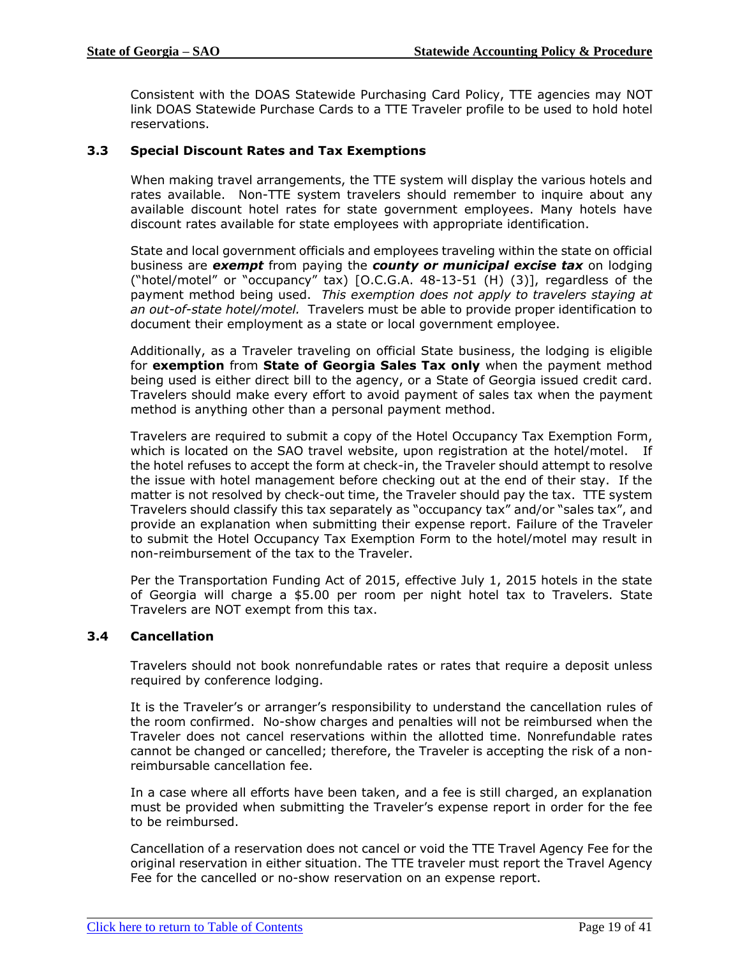Consistent with the DOAS Statewide Purchasing Card Policy, TTE agencies may NOT link DOAS Statewide Purchase Cards to a TTE Traveler profile to be used to hold hotel reservations.

# <span id="page-18-0"></span>**3.3 Special Discount Rates and Tax Exemptions**

When making travel arrangements, the TTE system will display the various hotels and rates available. Non-TTE system travelers should remember to inquire about any available discount hotel rates for state government employees. Many hotels have discount rates available for state employees with appropriate identification.

State and local government officials and employees traveling within the state on official business are *exempt* from paying the *county or municipal excise tax* on lodging ("hotel/motel" or "occupancy" tax) [O.C.G.A. 48-13-51 (H) (3)], regardless of the payment method being used. *This exemption does not apply to travelers staying at an out-of-state hotel/motel.* Travelers must be able to provide proper identification to document their employment as a state or local government employee.

Additionally, as a Traveler traveling on official State business, the lodging is eligible for **exemption** from **State of Georgia Sales Tax only** when the payment method being used is either direct bill to the agency, or a State of Georgia issued credit card. Travelers should make every effort to avoid payment of sales tax when the payment method is anything other than a personal payment method.

Travelers are required to submit a copy of the Hotel Occupancy Tax Exemption Form, which is located on the SAO travel website, upon registration at the hotel/motel. If the hotel refuses to accept the form at check-in, the Traveler should attempt to resolve the issue with hotel management before checking out at the end of their stay. If the matter is not resolved by check-out time, the Traveler should pay the tax. TTE system Travelers should classify this tax separately as "occupancy tax" and/or "sales tax", and provide an explanation when submitting their expense report. Failure of the Traveler to submit the Hotel Occupancy Tax Exemption Form to the hotel/motel may result in non-reimbursement of the tax to the Traveler.

Per the Transportation Funding Act of 2015, effective July 1, 2015 hotels in the state of Georgia will charge a \$5.00 per room per night hotel tax to Travelers. State Travelers are NOT exempt from this tax.

#### <span id="page-18-1"></span>**3.4 Cancellation**

Travelers should not book nonrefundable rates or rates that require a deposit unless required by conference lodging.

It is the Traveler's or arranger's responsibility to understand the cancellation rules of the room confirmed. No-show charges and penalties will not be reimbursed when the Traveler does not cancel reservations within the allotted time. Nonrefundable rates cannot be changed or cancelled; therefore, the Traveler is accepting the risk of a nonreimbursable cancellation fee.

In a case where all efforts have been taken, and a fee is still charged, an explanation must be provided when submitting the Traveler's expense report in order for the fee to be reimbursed.

Cancellation of a reservation does not cancel or void the TTE Travel Agency Fee for the original reservation in either situation. The TTE traveler must report the Travel Agency Fee for the cancelled or no-show reservation on an expense report.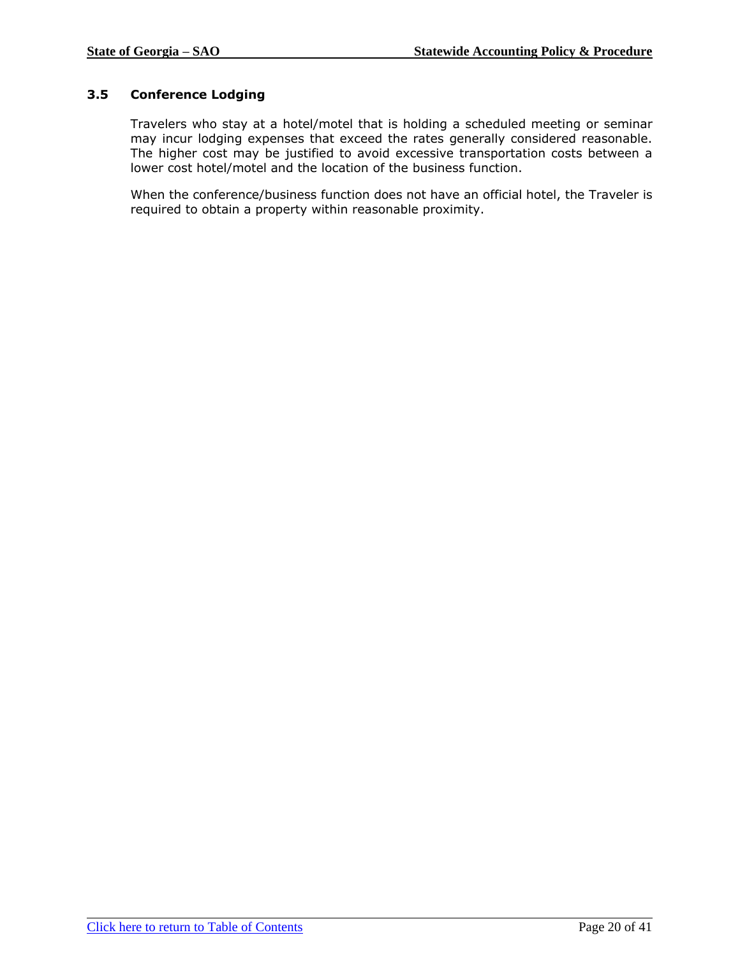# <span id="page-19-0"></span>**3.5 Conference Lodging**

Travelers who stay at a hotel/motel that is holding a scheduled meeting or seminar may incur lodging expenses that exceed the rates generally considered reasonable. The higher cost may be justified to avoid excessive transportation costs between a lower cost hotel/motel and the location of the business function.

When the conference/business function does not have an official hotel, the Traveler is required to obtain a property within reasonable proximity.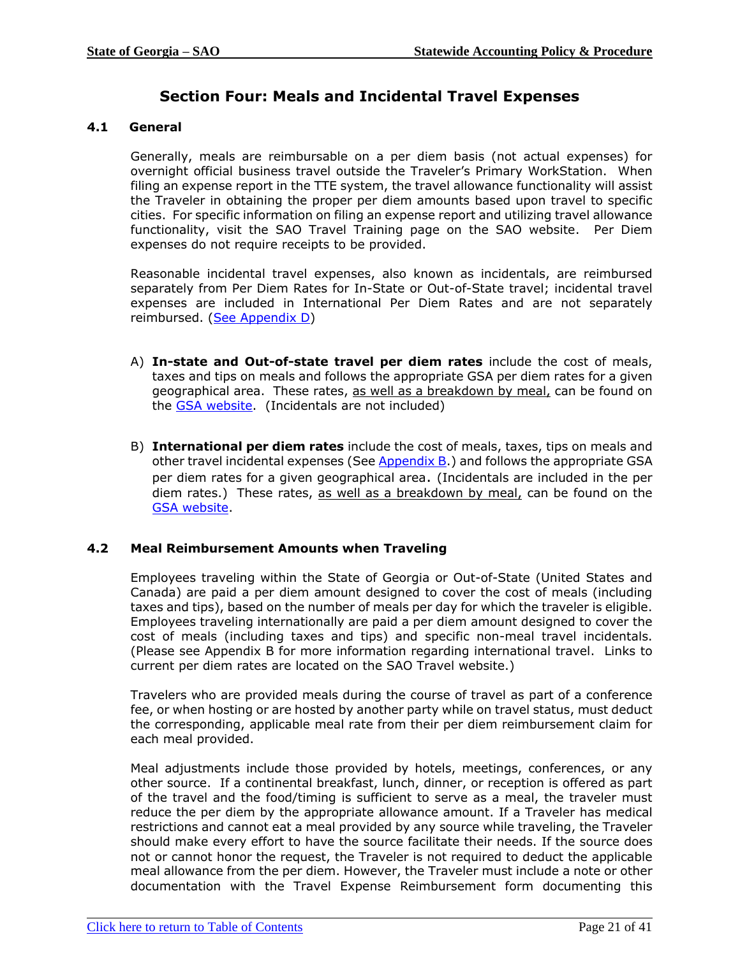# **Section Four: Meals and Incidental Travel Expenses**

# <span id="page-20-2"></span><span id="page-20-0"></span>**4.1 General**

Generally, meals are reimbursable on a per diem basis (not actual expenses) for overnight official business travel outside the Traveler's Primary WorkStation. When filing an expense report in the TTE system, the travel allowance functionality will assist the Traveler in obtaining the proper per diem amounts based upon travel to specific cities. For specific information on filing an expense report and utilizing travel allowance functionality, visit the SAO Travel Training page on the SAO website. Per Diem expenses do not require receipts to be provided.

Reasonable incidental travel expenses, also known as incidentals, are reimbursed separately from Per Diem Rates for In-State or Out-of-State travel; incidental travel expenses are included in International Per Diem Rates and are not separately reimbursed. [\(See Appendix D\)](#page-36-0)

- A) **In-state and Out-of-state travel per diem rates** include the cost of meals, taxes and tips on meals and follows the appropriate GSA per diem rates for a given geographical area. These rates, as well as a breakdown by meal, can be found on the [GSA website.](http://www.gsa.gov/portal/content/104877) (Incidentals are not included)
- B) **International per diem rates** include the cost of meals, taxes, tips on meals and other travel incidental expenses (See [Appendix B.](#page-33-0)) and follows the appropriate GSA per diem rates for a given geographical area. (Incidentals are included in the per diem rates.) These rates, as well as a breakdown by meal, can be found on the [GSA website.](http://www.gsa.gov/portal/content/104877)

# <span id="page-20-1"></span>**4.2 Meal Reimbursement Amounts when Traveling**

Employees traveling within the State of Georgia or Out-of-State (United States and Canada) are paid a per diem amount designed to cover the cost of meals (including taxes and tips), based on the number of meals per day for which the traveler is eligible. Employees traveling internationally are paid a per diem amount designed to cover the cost of meals (including taxes and tips) and specific non-meal travel incidentals. (Please see Appendix B for more information regarding international travel. Links to current per diem rates are located on the SAO Travel website.)

Travelers who are provided meals during the course of travel as part of a conference fee, or when hosting or are hosted by another party while on travel status, must deduct the corresponding, applicable meal rate from their per diem reimbursement claim for each meal provided.

Meal adjustments include those provided by hotels, meetings, conferences, or any other source. If a continental breakfast, lunch, dinner, or reception is offered as part of the travel and the food/timing is sufficient to serve as a meal, the traveler must reduce the per diem by the appropriate allowance amount. If a Traveler has medical restrictions and cannot eat a meal provided by any source while traveling, the Traveler should make every effort to have the source facilitate their needs. If the source does not or cannot honor the request, the Traveler is not required to deduct the applicable meal allowance from the per diem. However, the Traveler must include a note or other documentation with the Travel Expense Reimbursement form documenting this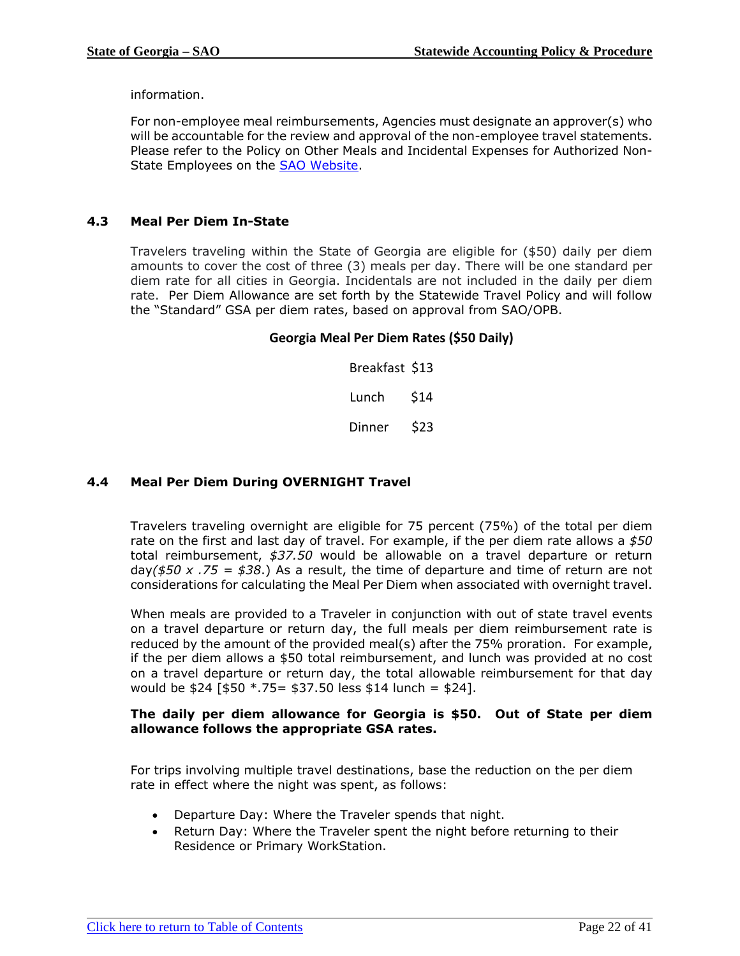information.

For non-employee meal reimbursements, Agencies must designate an approver(s) who will be accountable for the review and approval of the non-employee travel statements. Please refer to the Policy on Other Meals and Incidental Expenses for Authorized Non-State Employees on the **SAO Website**.

# <span id="page-21-0"></span>**4.3 Meal Per Diem In-State**

Travelers traveling within the State of Georgia are eligible for (\$50) daily per diem amounts to cover the cost of three (3) meals per day. There will be one standard per diem rate for all cities in Georgia. Incidentals are not included in the daily per diem rate. Per Diem Allowance are set forth by the Statewide Travel Policy and will follow the "Standard" GSA per diem rates, based on approval from SAO/OPB.

### **Georgia Meal Per Diem Rates (\$50 Daily)**

Breakfast \$13 Lunch \$14 Dinner \$23

# <span id="page-21-1"></span>**4.4 Meal Per Diem During OVERNIGHT Travel**

Travelers traveling overnight are eligible for 75 percent (75%) of the total per diem rate on the first and last day of travel. For example, if the per diem rate allows a *\$50*  total reimbursement, *\$37.50* would be allowable on a travel departure or return day*(\$50 x .75 = \$38*.) As a result, the time of departure and time of return are not considerations for calculating the Meal Per Diem when associated with overnight travel.

When meals are provided to a Traveler in conjunction with out of state travel events on a travel departure or return day, the full meals per diem reimbursement rate is reduced by the amount of the provided meal(s) after the 75% proration. For example, if the per diem allows a \$50 total reimbursement, and lunch was provided at no cost on a travel departure or return day, the total allowable reimbursement for that day would be \$24 [\$50 \*.75= \$37.50 less \$14 lunch = \$24].

#### **The daily per diem allowance for Georgia is \$50. Out of State per diem allowance follows the appropriate GSA rates.**

For trips involving multiple travel destinations, base the reduction on the per diem rate in effect where the night was spent, as follows:

- Departure Day: Where the Traveler spends that night.
- Return Day: Where the Traveler spent the night before returning to their Residence or Primary WorkStation.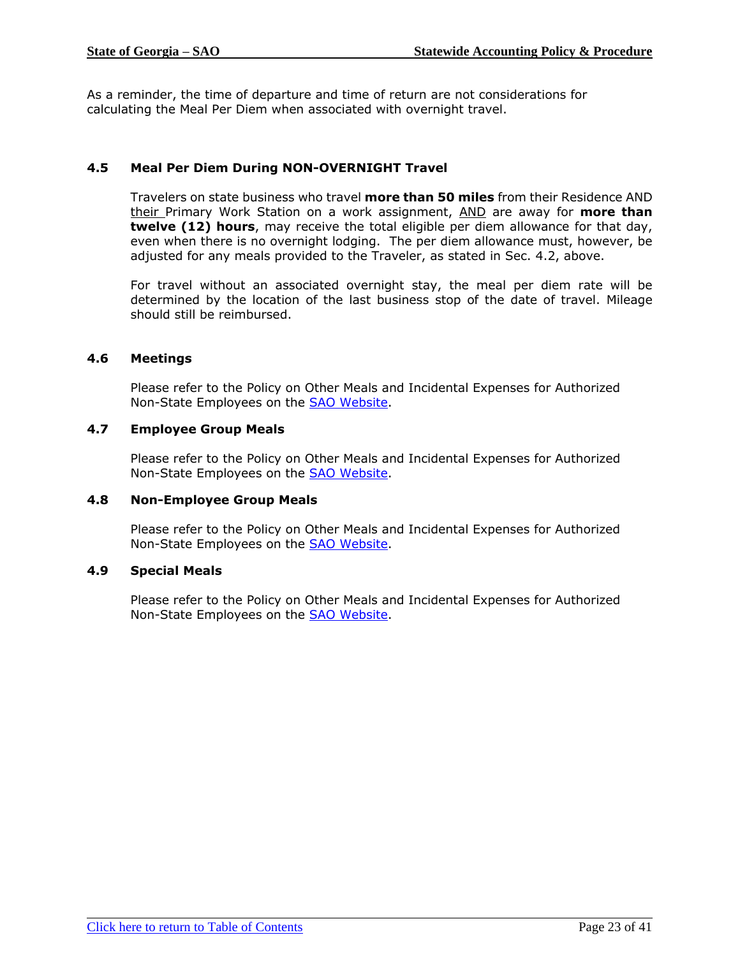As a reminder, the time of departure and time of return are not considerations for calculating the Meal Per Diem when associated with overnight travel.

# <span id="page-22-0"></span>**4.5 Meal Per Diem During NON-OVERNIGHT Travel**

Travelers on state business who travel **more than 50 miles** from their Residence AND their Primary Work Station on a work assignment, AND are away for **more than twelve (12) hours**, may receive the total eligible per diem allowance for that day, even when there is no overnight lodging. The per diem allowance must, however, be adjusted for any meals provided to the Traveler, as stated in Sec. 4.2, above.

For travel without an associated overnight stay, the meal per diem rate will be determined by the location of the last business stop of the date of travel. Mileage should still be reimbursed.

### <span id="page-22-1"></span>**4.6 Meetings**

Please refer to the Policy on Other Meals and Incidental Expenses for Authorized Non-State Employees on the [SAO Website.](http://sao.georgia.gov/group-meal-policy)

### <span id="page-22-2"></span>**4.7 Employee Group Meals**

Please refer to the Policy on Other Meals and Incidental Expenses for Authorized Non-State Employees on the **SAO Website**.

#### <span id="page-22-3"></span>**4.8 Non-Employee Group Meals**

Please refer to the Policy on Other Meals and Incidental Expenses for Authorized Non-State Employees on the [SAO Website.](http://sao.georgia.gov/group-meal-policy)

#### <span id="page-22-4"></span>**4.9 Special Meals**

Please refer to the Policy on Other Meals and Incidental Expenses for Authorized Non-State Employees on the [SAO Website.](http://sao.georgia.gov/group-meal-policy)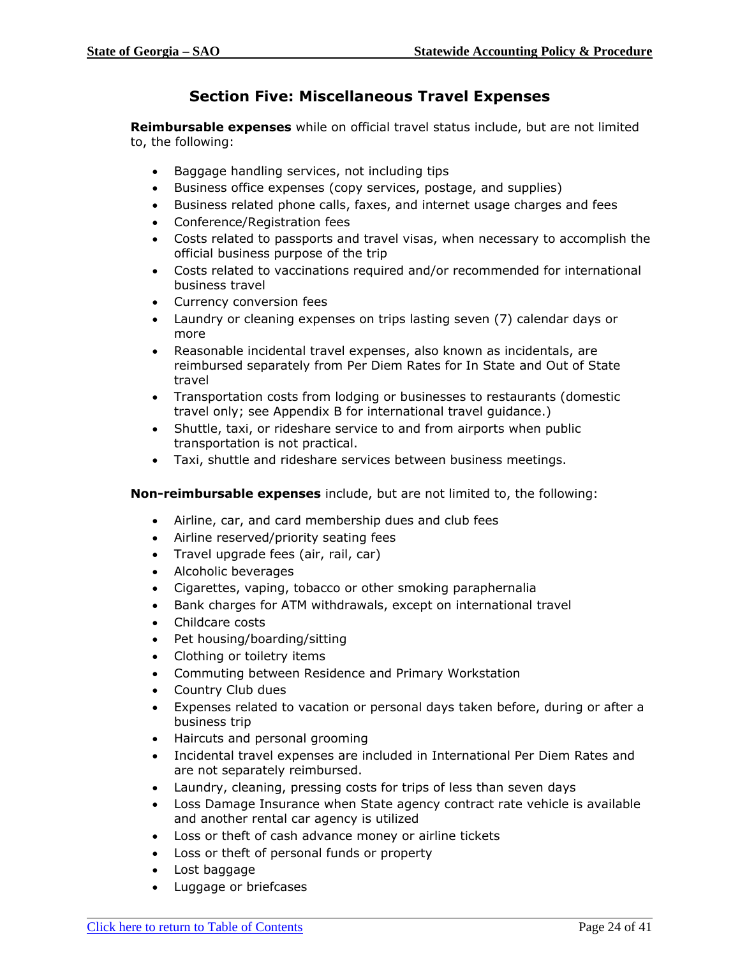# **Section Five: Miscellaneous Travel Expenses**

<span id="page-23-0"></span>**Reimbursable expenses** while on official travel status include, but are not limited to, the following:

- Baggage handling services, not including tips
- Business office expenses (copy services, postage, and supplies)
- Business related phone calls, faxes, and internet usage charges and fees
- Conference/Registration fees
- Costs related to passports and travel visas, when necessary to accomplish the official business purpose of the trip
- Costs related to vaccinations required and/or recommended for international business travel
- Currency conversion fees
- Laundry or cleaning expenses on trips lasting seven (7) calendar days or more
- Reasonable incidental travel expenses, also known as incidentals, are reimbursed separately from Per Diem Rates for In State and Out of State travel
- Transportation costs from lodging or businesses to restaurants (domestic travel only; see Appendix B for international travel guidance.)
- Shuttle, taxi, or rideshare service to and from airports when public transportation is not practical.
- Taxi, shuttle and rideshare services between business meetings.

#### **Non-reimbursable expenses** include, but are not limited to, the following:

- Airline, car, and card membership dues and club fees
- Airline reserved/priority seating fees
- Travel upgrade fees (air, rail, car)
- Alcoholic beverages
- Cigarettes, vaping, tobacco or other smoking paraphernalia
- Bank charges for ATM withdrawals, except on international travel
- Childcare costs
- Pet housing/boarding/sitting
- Clothing or toiletry items
- Commuting between Residence and Primary Workstation
- Country Club dues
- Expenses related to vacation or personal days taken before, during or after a business trip
- Haircuts and personal grooming
- Incidental travel expenses are included in International Per Diem Rates and are not separately reimbursed.
- Laundry, cleaning, pressing costs for trips of less than seven days
- Loss Damage Insurance when State agency contract rate vehicle is available and another rental car agency is utilized
- Loss or theft of cash advance money or airline tickets
- Loss or theft of personal funds or property
- Lost baggage
- Luggage or briefcases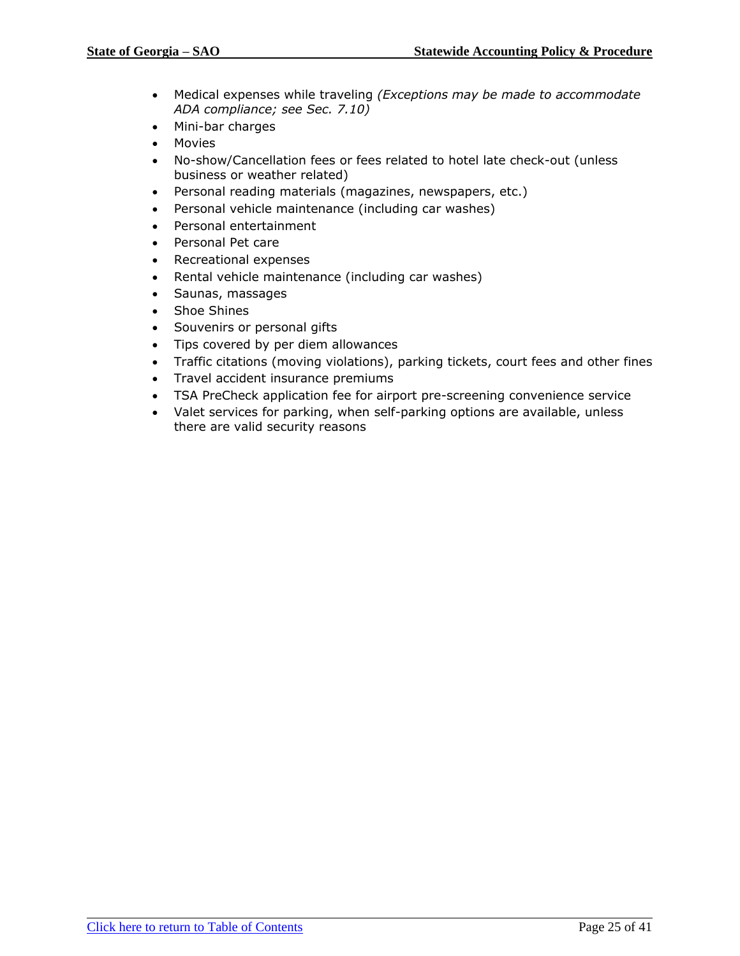- Medical expenses while traveling *(Exceptions may be made to accommodate ADA compliance; see Sec. 7.10)*
- Mini-bar charges
- Movies
- No-show/Cancellation fees or fees related to hotel late check-out (unless business or weather related)
- Personal reading materials (magazines, newspapers, etc.)
- Personal vehicle maintenance (including car washes)
- Personal entertainment
- Personal Pet care
- Recreational expenses
- Rental vehicle maintenance (including car washes)
- Saunas, massages
- Shoe Shines
- Souvenirs or personal gifts
- Tips covered by per diem allowances
- Traffic citations (moving violations), parking tickets, court fees and other fines
- Travel accident insurance premiums
- TSA PreCheck application fee for airport pre-screening convenience service
- Valet services for parking, when self-parking options are available, unless there are valid security reasons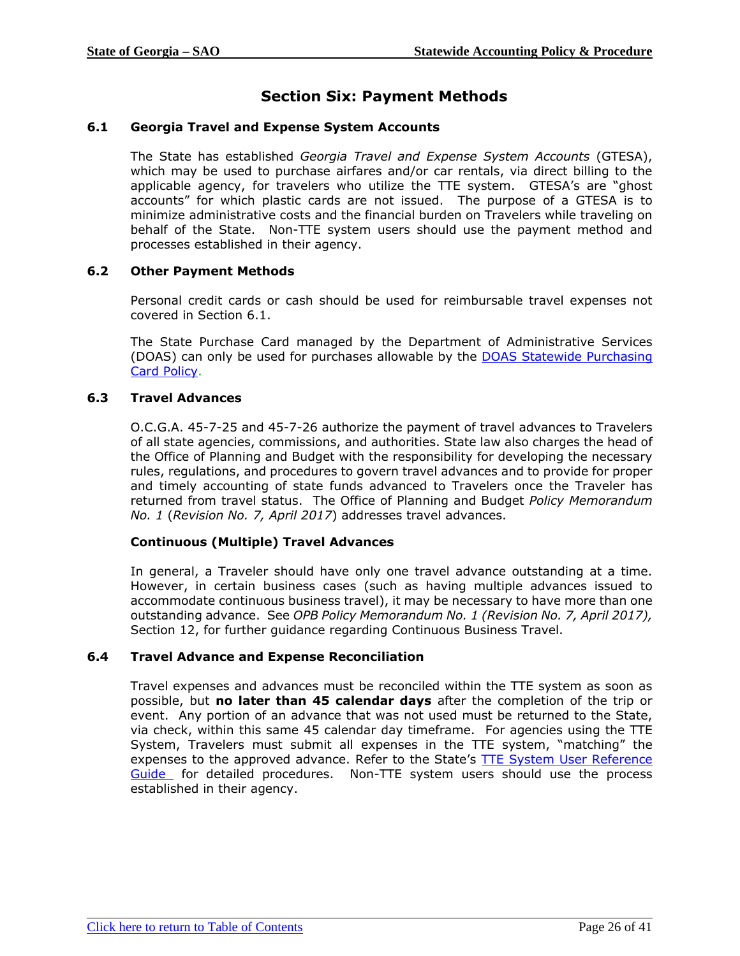# **Section Six: Payment Methods**

### <span id="page-25-3"></span><span id="page-25-0"></span>**6.1 Georgia Travel and Expense System Accounts**

The State has established *Georgia Travel and Expense System Accounts* (GTESA), which may be used to purchase airfares and/or car rentals, via direct billing to the applicable agency, for travelers who utilize the TTE system. GTESA's are "ghost accounts" for which plastic cards are not issued. The purpose of a GTESA is to minimize administrative costs and the financial burden on Travelers while traveling on behalf of the State. Non-TTE system users should use the payment method and processes established in their agency.

### <span id="page-25-1"></span>**6.2 Other Payment Methods**

Personal credit cards or cash should be used for reimbursable travel expenses not covered in Section 6.1.

The State Purchase Card managed by the Department of Administrative Services (DOAS) can only be used for purchases allowable by the [DOAS Statewide](http://doas.ga.gov/assets/State%20Purchasing/PCard%20Marketplace%20Documents/PCard_Policy.pdf) Purchasing [Card Policy.](http://doas.ga.gov/assets/State%20Purchasing/PCard%20Marketplace%20Documents/PCard_Policy.pdf)

### <span id="page-25-2"></span>**6.3 Travel Advances**

O.C.G.A. 45-7-25 and 45-7-26 authorize the payment of travel advances to Travelers of all state agencies, commissions, and authorities. State law also charges the head of the Office of Planning and Budget with the responsibility for developing the necessary rules, regulations, and procedures to govern travel advances and to provide for proper and timely accounting of state funds advanced to Travelers once the Traveler has returned from travel status. The Office of Planning and Budget *Policy Memorandum No. 1* (*Revision No. 7, April 2017*) addresses travel advances.

#### **Continuous (Multiple) Travel Advances**

In general, a Traveler should have only one travel advance outstanding at a time. However, in certain business cases (such as having multiple advances issued to accommodate continuous business travel), it may be necessary to have more than one outstanding advance. See *OPB Policy Memorandum No. 1 (Revision No. 7, April 2017),* Section 12, for further guidance regarding Continuous Business Travel.

#### <span id="page-25-4"></span>**6.4 Travel Advance and Expense Reconciliation**

Travel expenses and advances must be reconciled within the TTE system as soon as possible, but **no later than 45 calendar days** after the completion of the trip or event. Any portion of an advance that was not used must be returned to the State, via check, within this same 45 calendar day timeframe. For agencies using the TTE System, Travelers must submit all expenses in the TTE system, "matching" the expenses to the approved advance. Refer to the State's [TTE System User Reference](https://sao.georgia.gov/reference-materials)  [Guide](https://sao.georgia.gov/reference-materials) for detailed procedures. Non-TTE system users should use the process established in their agency.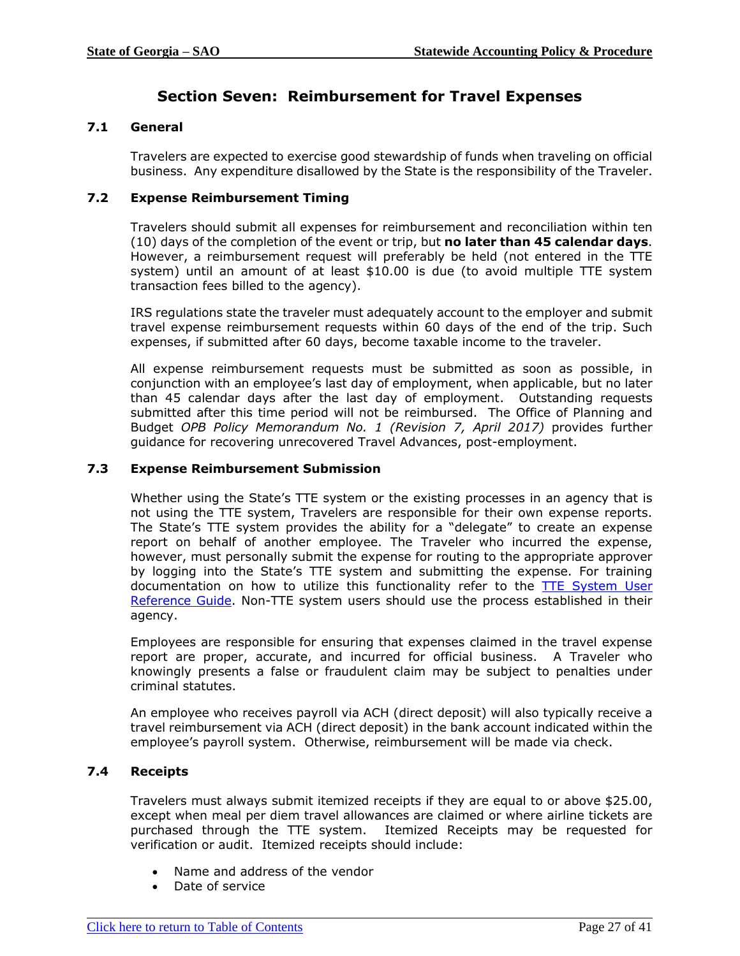# **Section Seven: Reimbursement for Travel Expenses**

# <span id="page-26-4"></span><span id="page-26-0"></span>**7.1 General**

Travelers are expected to exercise good stewardship of funds when traveling on official business. Any expenditure disallowed by the State is the responsibility of the Traveler.

#### <span id="page-26-1"></span>**7.2 Expense Reimbursement Timing**

Travelers should submit all expenses for reimbursement and reconciliation within ten (10) days of the completion of the event or trip, but **no later than 45 calendar days**. However, a reimbursement request will preferably be held (not entered in the TTE system) until an amount of at least \$10.00 is due (to avoid multiple TTE system transaction fees billed to the agency).

IRS regulations state the traveler must adequately account to the employer and submit travel expense reimbursement requests within 60 days of the end of the trip. Such expenses, if submitted after 60 days, become taxable income to the traveler.

All expense reimbursement requests must be submitted as soon as possible, in conjunction with an employee's last day of employment, when applicable, but no later than 45 calendar days after the last day of employment. Outstanding requests submitted after this time period will not be reimbursed. The Office of Planning and Budget *OPB Policy Memorandum No. 1 (Revision 7, April 2017)* provides further guidance for recovering unrecovered Travel Advances, post-employment.

### <span id="page-26-2"></span>**7.3 Expense Reimbursement Submission**

Whether using the State's TTE system or the existing processes in an agency that is not using the TTE system, Travelers are responsible for their own expense reports. The State's TTE system provides the ability for a "delegate" to create an expense report on behalf of another employee. The Traveler who incurred the expense, however, must personally submit the expense for routing to the appropriate approver by logging into the State's TTE system and submitting the expense. For training documentation on how to utilize this functionality refer to the **TTE System User** [Reference Guide.](https://sao.georgia.gov/reference-materials) Non-TTE system users should use the process established in their agency.

Employees are responsible for ensuring that expenses claimed in the travel expense report are proper, accurate, and incurred for official business. A Traveler who knowingly presents a false or fraudulent claim may be subject to penalties under criminal statutes.

An employee who receives payroll via ACH (direct deposit) will also typically receive a travel reimbursement via ACH (direct deposit) in the bank account indicated within the employee's payroll system. Otherwise, reimbursement will be made via check.

# <span id="page-26-3"></span>**7.4 Receipts**

Travelers must always submit itemized receipts if they are equal to or above \$25.00, except when meal per diem travel allowances are claimed or where airline tickets are purchased through the TTE system. Itemized Receipts may be requested for verification or audit. Itemized receipts should include:

- Name and address of the vendor
- Date of service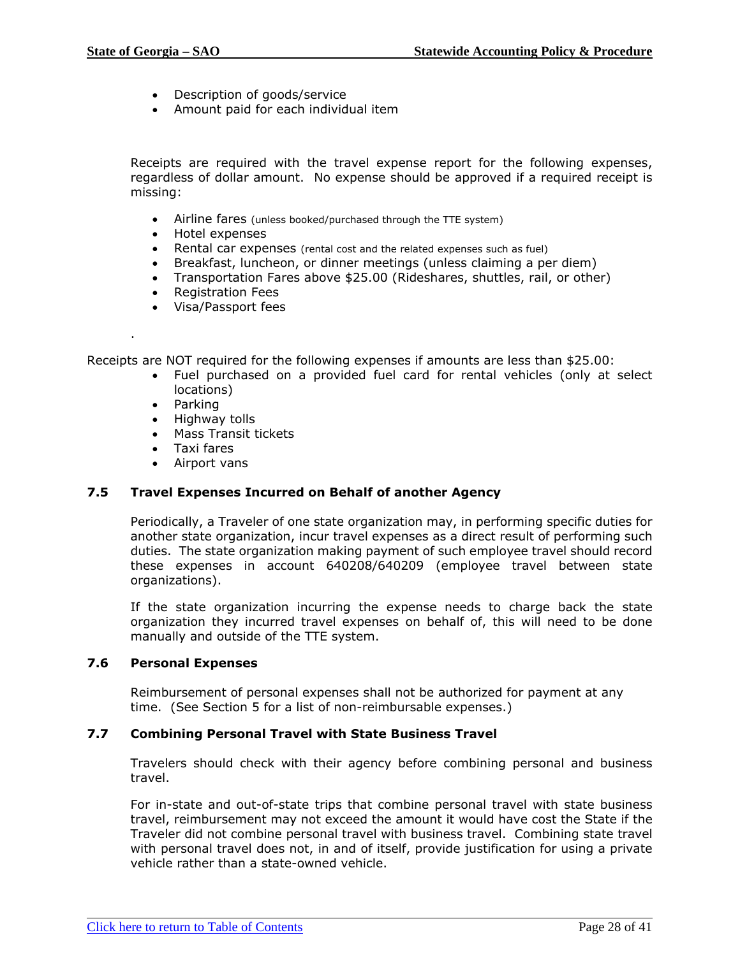- Description of goods/service
- Amount paid for each individual item

Receipts are required with the travel expense report for the following expenses, regardless of dollar amount. No expense should be approved if a required receipt is missing:

- Airline fares (unless booked/purchased through the TTE system)
- Hotel expenses
- Rental car expenses (rental cost and the related expenses such as fuel)
- Breakfast, luncheon, or dinner meetings (unless claiming a per diem)
- Transportation Fares above \$25.00 (Rideshares, shuttles, rail, or other)
- Registration Fees
- Visa/Passport fees

Receipts are NOT required for the following expenses if amounts are less than \$25.00:

- Fuel purchased on a provided fuel card for rental vehicles (only at select locations)
- Parking

.

- Highway tolls
- Mass Transit tickets
- Taxi fares
- Airport vans

#### <span id="page-27-0"></span>**7.5 Travel Expenses Incurred on Behalf of another Agency**

Periodically, a Traveler of one state organization may, in performing specific duties for another state organization, incur travel expenses as a direct result of performing such duties. The state organization making payment of such employee travel should record these expenses in account 640208/640209 (employee travel between state organizations).

If the state organization incurring the expense needs to charge back the state organization they incurred travel expenses on behalf of, this will need to be done manually and outside of the TTE system.

#### <span id="page-27-1"></span>**7.6 Personal Expenses**

Reimbursement of personal expenses shall not be authorized for payment at any time. (See Section 5 for a list of non-reimbursable expenses.)

#### <span id="page-27-2"></span>**7.7 Combining Personal Travel with State Business Travel**

Travelers should check with their agency before combining personal and business travel.

For in-state and out-of-state trips that combine personal travel with state business travel, reimbursement may not exceed the amount it would have cost the State if the Traveler did not combine personal travel with business travel. Combining state travel with personal travel does not, in and of itself, provide justification for using a private vehicle rather than a state-owned vehicle.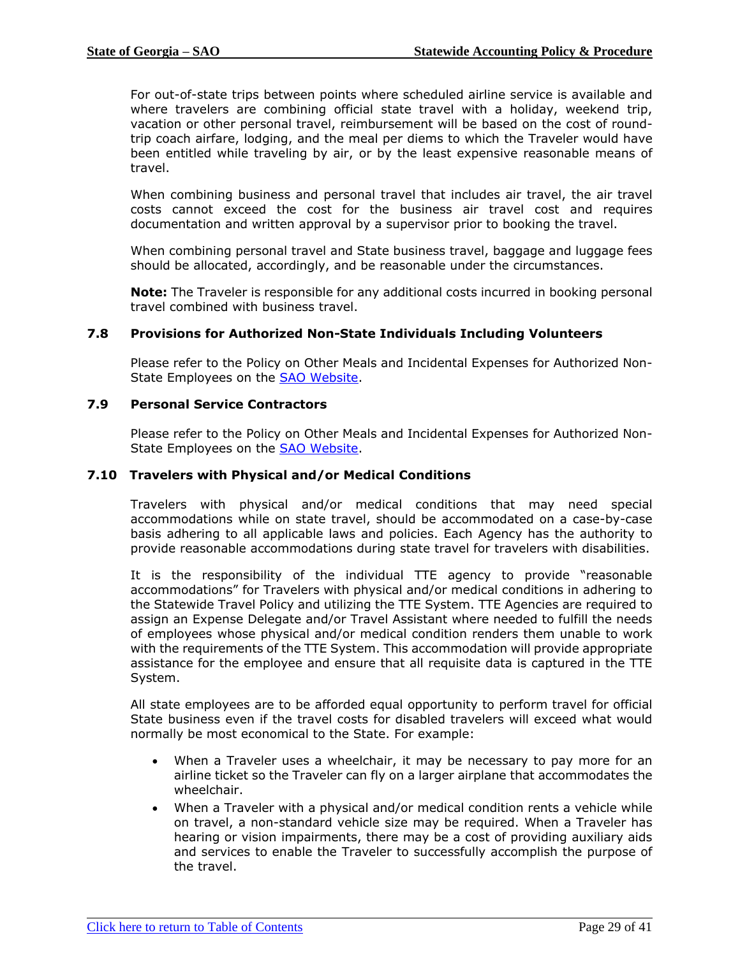For out-of-state trips between points where scheduled airline service is available and where travelers are combining official state travel with a holiday, weekend trip, vacation or other personal travel, reimbursement will be based on the cost of roundtrip coach airfare, lodging, and the meal per diems to which the Traveler would have been entitled while traveling by air, or by the least expensive reasonable means of travel.

When combining business and personal travel that includes air travel, the air travel costs cannot exceed the cost for the business air travel cost and requires documentation and written approval by a supervisor prior to booking the travel.

When combining personal travel and State business travel, baggage and luggage fees should be allocated, accordingly, and be reasonable under the circumstances.

**Note:** The Traveler is responsible for any additional costs incurred in booking personal travel combined with business travel.

#### <span id="page-28-0"></span>**7.8 Provisions for Authorized Non-State Individuals Including Volunteers**

Please refer to the Policy on Other Meals and Incidental Expenses for Authorized Non-State Employees on the **SAO Website**.

#### <span id="page-28-1"></span>**7.9 Personal Service Contractors**

Please refer to the Policy on Other Meals and Incidental Expenses for Authorized Non-State Employees on the [SAO Website.](http://sao.georgia.gov/group-meal-policy)

#### <span id="page-28-2"></span>**7.10 Travelers with Physical and/or Medical Conditions**

Travelers with physical and/or medical conditions that may need special accommodations while on state travel, should be accommodated on a case-by-case basis adhering to all applicable laws and policies. Each Agency has the authority to provide reasonable accommodations during state travel for travelers with disabilities.

It is the responsibility of the individual TTE agency to provide "reasonable accommodations" for Travelers with physical and/or medical conditions in adhering to the Statewide Travel Policy and utilizing the TTE System. TTE Agencies are required to assign an Expense Delegate and/or Travel Assistant where needed to fulfill the needs of employees whose physical and/or medical condition renders them unable to work with the requirements of the TTE System. This accommodation will provide appropriate assistance for the employee and ensure that all requisite data is captured in the TTE System.

All state employees are to be afforded equal opportunity to perform travel for official State business even if the travel costs for disabled travelers will exceed what would normally be most economical to the State. For example:

- When a Traveler uses a wheelchair, it may be necessary to pay more for an airline ticket so the Traveler can fly on a larger airplane that accommodates the wheelchair.
- When a Traveler with a physical and/or medical condition rents a vehicle while on travel, a non-standard vehicle size may be required. When a Traveler has hearing or vision impairments, there may be a cost of providing auxiliary aids and services to enable the Traveler to successfully accomplish the purpose of the travel.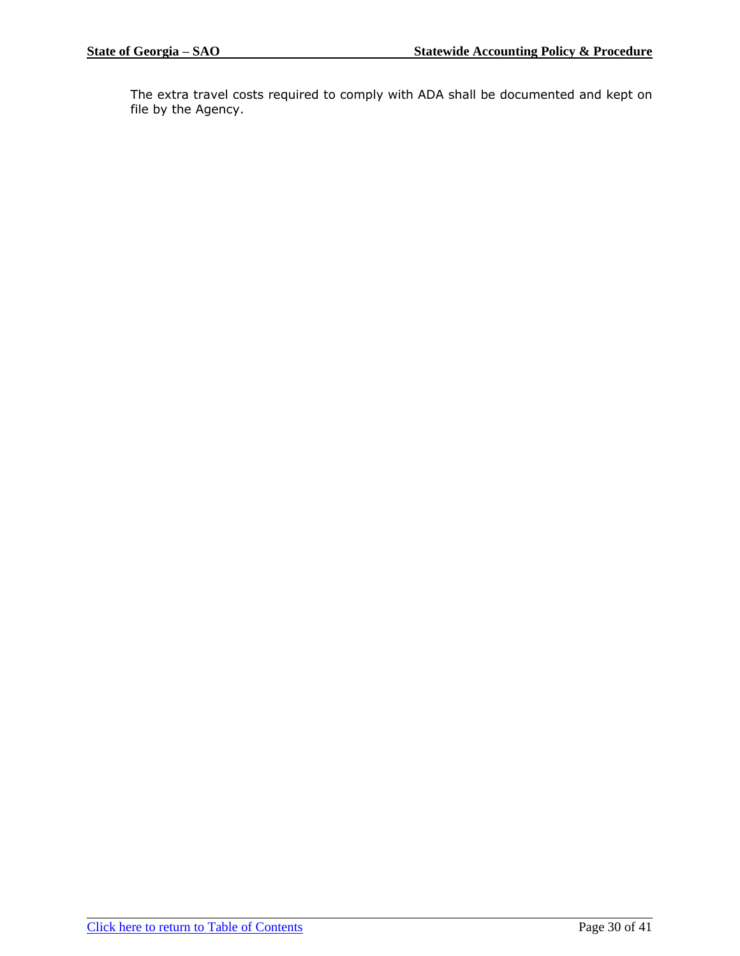The extra travel costs required to comply with ADA shall be documented and kept on file by the Agency.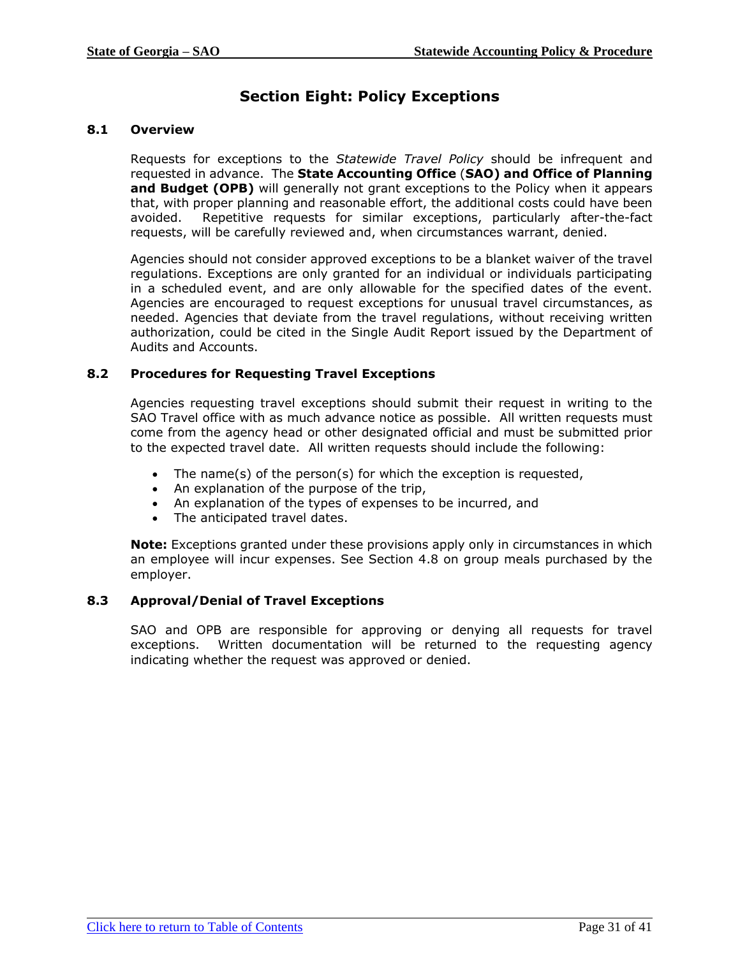# **Section Eight: Policy Exceptions**

# <span id="page-30-3"></span><span id="page-30-0"></span>**8.1 Overview**

Requests for exceptions to the *Statewide Travel Policy* should be infrequent and requested in advance. The **State Accounting Office** (**SAO) and Office of Planning and Budget (OPB)** will generally not grant exceptions to the Policy when it appears that, with proper planning and reasonable effort, the additional costs could have been avoided. Repetitive requests for similar exceptions, particularly after-the-fact requests, will be carefully reviewed and, when circumstances warrant, denied.

Agencies should not consider approved exceptions to be a blanket waiver of the travel regulations. Exceptions are only granted for an individual or individuals participating in a scheduled event, and are only allowable for the specified dates of the event. Agencies are encouraged to request exceptions for unusual travel circumstances, as needed. Agencies that deviate from the travel regulations, without receiving written authorization, could be cited in the Single Audit Report issued by the Department of Audits and Accounts.

### <span id="page-30-1"></span>**8.2 Procedures for Requesting Travel Exceptions**

Agencies requesting travel exceptions should submit their request in writing to the SAO Travel office with as much advance notice as possible. All written requests must come from the agency head or other designated official and must be submitted prior to the expected travel date. All written requests should include the following:

- The name(s) of the person(s) for which the exception is requested,
- An explanation of the purpose of the trip,
- An explanation of the types of expenses to be incurred, and
- The anticipated travel dates.

**Note:** Exceptions granted under these provisions apply only in circumstances in which an employee will incur expenses. See Section 4.8 on group meals purchased by the employer.

#### <span id="page-30-2"></span>**8.3 Approval/Denial of Travel Exceptions**

SAO and OPB are responsible for approving or denying all requests for travel exceptions. Written documentation will be returned to the requesting agency indicating whether the request was approved or denied.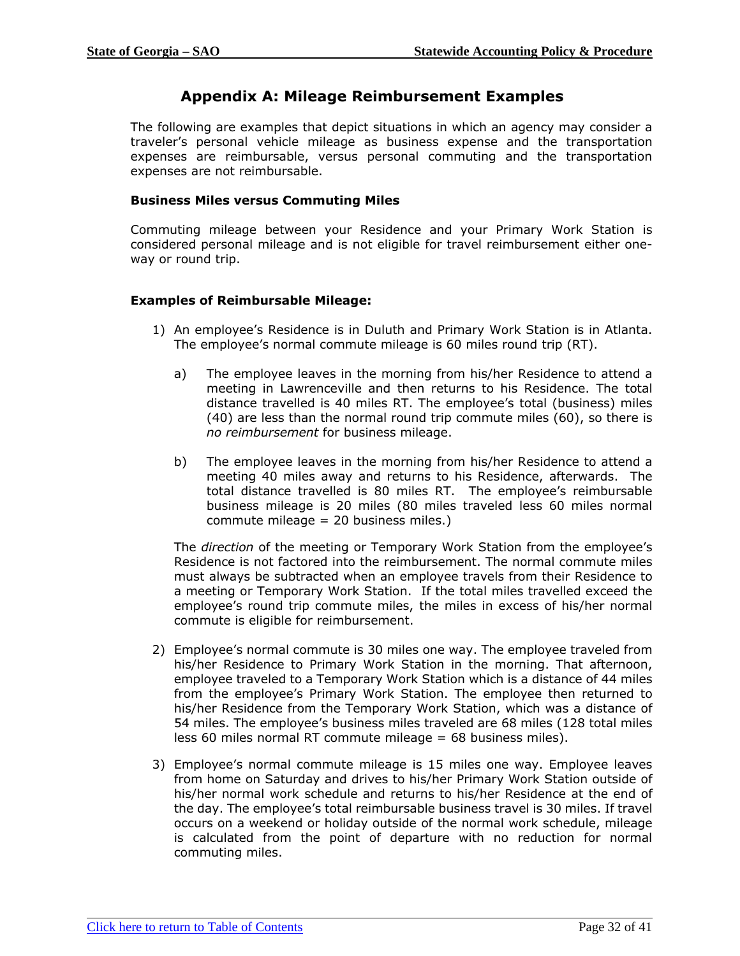# <span id="page-31-0"></span>**Appendix A: Mileage Reimbursement Examples**

The following are examples that depict situations in which an agency may consider a traveler's personal vehicle mileage as business expense and the transportation expenses are reimbursable, versus personal commuting and the transportation expenses are not reimbursable.

#### **Business Miles versus Commuting Miles**

Commuting mileage between your Residence and your Primary Work Station is considered personal mileage and is not eligible for travel reimbursement either oneway or round trip.

#### **Examples of Reimbursable Mileage:**

- 1) An employee's Residence is in Duluth and Primary Work Station is in Atlanta. The employee's normal commute mileage is 60 miles round trip (RT).
	- a) The employee leaves in the morning from his/her Residence to attend a meeting in Lawrenceville and then returns to his Residence. The total distance travelled is 40 miles RT. The employee's total (business) miles (40) are less than the normal round trip commute miles (60), so there is *no reimbursement* for business mileage.
	- b) The employee leaves in the morning from his/her Residence to attend a meeting 40 miles away and returns to his Residence, afterwards. The total distance travelled is 80 miles RT. The employee's reimbursable business mileage is 20 miles (80 miles traveled less 60 miles normal commute mileage = 20 business miles.)

The *direction* of the meeting or Temporary Work Station from the employee's Residence is not factored into the reimbursement. The normal commute miles must always be subtracted when an employee travels from their Residence to a meeting or Temporary Work Station. If the total miles travelled exceed the employee's round trip commute miles, the miles in excess of his/her normal commute is eligible for reimbursement.

- 2) Employee's normal commute is 30 miles one way. The employee traveled from his/her Residence to Primary Work Station in the morning. That afternoon, employee traveled to a Temporary Work Station which is a distance of 44 miles from the employee's Primary Work Station. The employee then returned to his/her Residence from the Temporary Work Station, which was a distance of 54 miles. The employee's business miles traveled are 68 miles (128 total miles less 60 miles normal RT commute mileage = 68 business miles).
- 3) Employee's normal commute mileage is 15 miles one way. Employee leaves from home on Saturday and drives to his/her Primary Work Station outside of his/her normal work schedule and returns to his/her Residence at the end of the day. The employee's total reimbursable business travel is 30 miles. If travel occurs on a weekend or holiday outside of the normal work schedule, mileage is calculated from the point of departure with no reduction for normal commuting miles.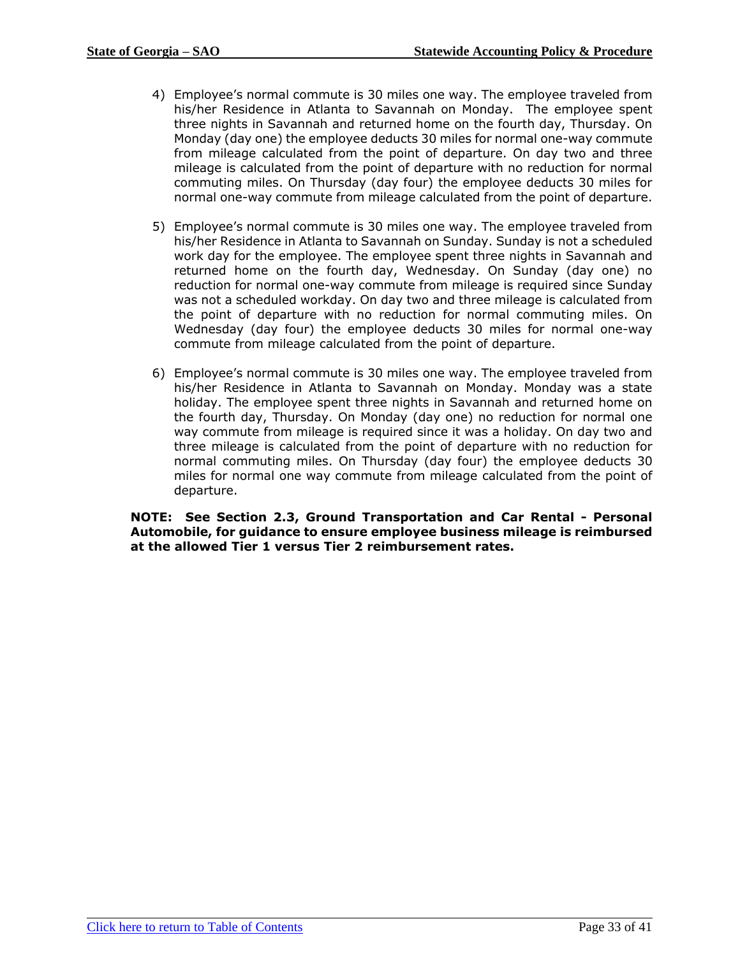- 4) Employee's normal commute is 30 miles one way. The employee traveled from his/her Residence in Atlanta to Savannah on Monday. The employee spent three nights in Savannah and returned home on the fourth day, Thursday. On Monday (day one) the employee deducts 30 miles for normal one-way commute from mileage calculated from the point of departure. On day two and three mileage is calculated from the point of departure with no reduction for normal commuting miles. On Thursday (day four) the employee deducts 30 miles for normal one-way commute from mileage calculated from the point of departure.
- 5) Employee's normal commute is 30 miles one way. The employee traveled from his/her Residence in Atlanta to Savannah on Sunday. Sunday is not a scheduled work day for the employee. The employee spent three nights in Savannah and returned home on the fourth day, Wednesday. On Sunday (day one) no reduction for normal one-way commute from mileage is required since Sunday was not a scheduled workday. On day two and three mileage is calculated from the point of departure with no reduction for normal commuting miles. On Wednesday (day four) the employee deducts 30 miles for normal one-way commute from mileage calculated from the point of departure.
- 6) Employee's normal commute is 30 miles one way. The employee traveled from his/her Residence in Atlanta to Savannah on Monday. Monday was a state holiday. The employee spent three nights in Savannah and returned home on the fourth day, Thursday. On Monday (day one) no reduction for normal one way commute from mileage is required since it was a holiday. On day two and three mileage is calculated from the point of departure with no reduction for normal commuting miles. On Thursday (day four) the employee deducts 30 miles for normal one way commute from mileage calculated from the point of departure.

**NOTE: See Section 2.3, Ground Transportation and Car Rental - Personal Automobile, for guidance to ensure employee business mileage is reimbursed at the allowed Tier 1 versus Tier 2 reimbursement rates.**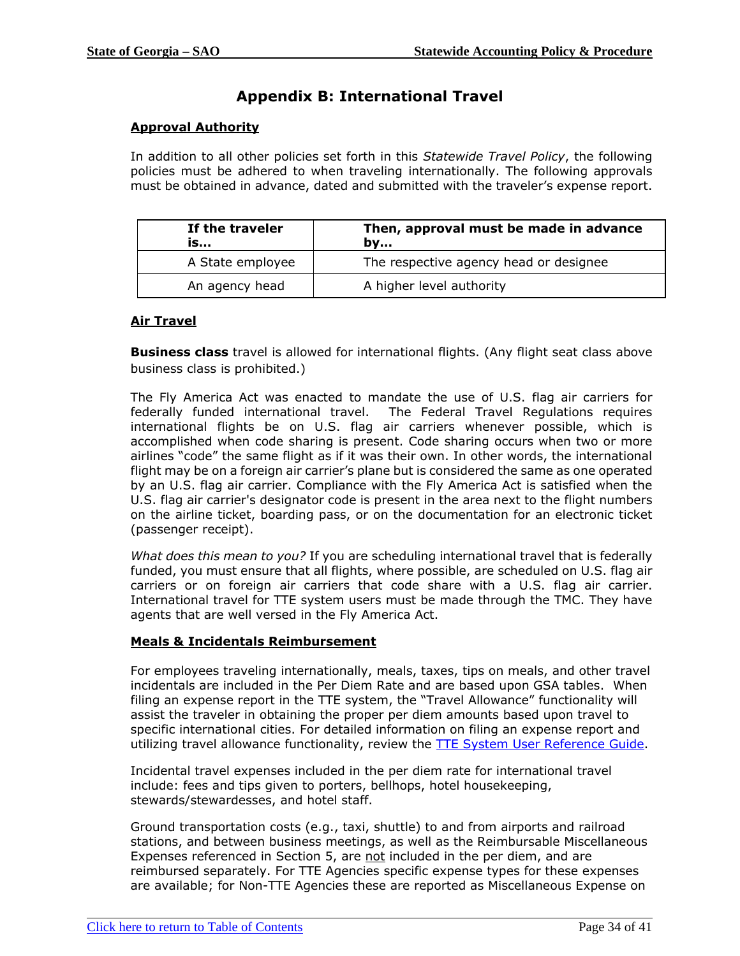# **Appendix B: International Travel**

### <span id="page-33-0"></span>**Approval Authority**

In addition to all other policies set forth in this *Statewide Travel Policy*, the following policies must be adhered to when traveling internationally. The following approvals must be obtained in advance, dated and submitted with the traveler's expense report.

| If the traveler<br>is | Then, approval must be made in advance<br>bv |  |
|-----------------------|----------------------------------------------|--|
| A State employee      | The respective agency head or designee       |  |
| An agency head        | A higher level authority                     |  |

### **Air Travel**

**Business class** travel is allowed for international flights. (Any flight seat class above business class is prohibited.)

The Fly America Act was enacted to mandate the use of U.S. flag air carriers for federally funded international travel. The Federal Travel Regulations requires international flights be on U.S. flag air carriers whenever possible, which is accomplished when code sharing is present. Code sharing occurs when two or more airlines "code" the same flight as if it was their own. In other words, the international flight may be on a foreign air carrier's plane but is considered the same as one operated by an U.S. flag air carrier. Compliance with the Fly America Act is satisfied when the U.S. flag air carrier's designator code is present in the area next to the flight numbers on the airline ticket, boarding pass, or on the documentation for an electronic ticket (passenger receipt).

*What does this mean to you?* If you are scheduling international travel that is federally funded, you must ensure that all flights, where possible, are scheduled on U.S. flag air carriers or on foreign air carriers that code share with a U.S. flag air carrier. International travel for TTE system users must be made through the TMC. They have agents that are well versed in the Fly America Act.

#### **Meals & Incidentals Reimbursement**

For employees traveling internationally, meals, taxes, tips on meals, and other travel incidentals are included in the Per Diem Rate and are based upon GSA tables. When filing an expense report in the TTE system, the "Travel Allowance" functionality will assist the traveler in obtaining the proper per diem amounts based upon travel to specific international cities. For detailed information on filing an expense report and utilizing travel allowance functionality, review the TTE [System User Reference Guide.](https://sao.georgia.gov/reference-materials)

Incidental travel expenses included in the per diem rate for international travel include: fees and tips given to porters, bellhops, hotel housekeeping, stewards/stewardesses, and hotel staff.

Ground transportation costs (e.g., taxi, shuttle) to and from airports and railroad stations, and between business meetings, as well as the Reimbursable Miscellaneous Expenses referenced in Section 5, are not included in the per diem, and are reimbursed separately. For TTE Agencies specific expense types for these expenses are available; for Non-TTE Agencies these are reported as Miscellaneous Expense on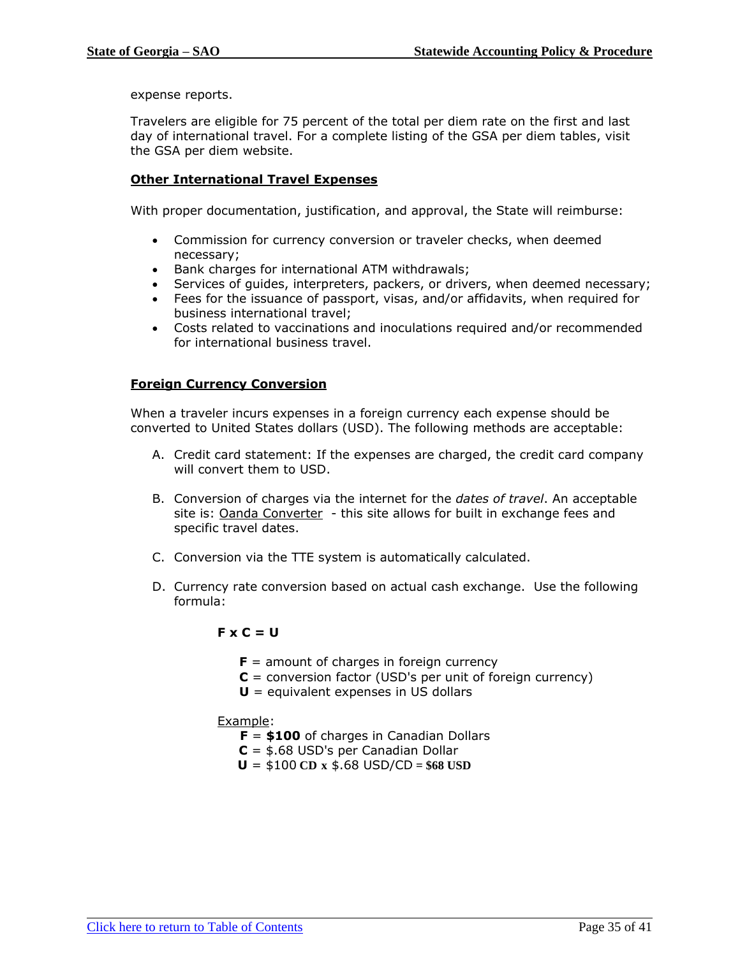expense reports.

Travelers are eligible for 75 percent of the total per diem rate on the first and last day of international travel. For a complete listing of the GSA per diem tables, visit the GSA per diem website.

#### **Other International Travel Expenses**

With proper documentation, justification, and approval, the State will reimburse:

- Commission for currency conversion or traveler checks, when deemed necessary;
- Bank charges for international ATM withdrawals;
- Services of guides, interpreters, packers, or drivers, when deemed necessary;
- Fees for the issuance of passport, visas, and/or affidavits, when required for business international travel;
- Costs related to vaccinations and inoculations required and/or recommended for international business travel.

#### **Foreign Currency Conversion**

When a traveler incurs expenses in a foreign currency each expense should be converted to United States dollars (USD). The following methods are acceptable:

- A. Credit card statement: If the expenses are charged, the credit card company will convert them to USD.
- B. Conversion of charges via the internet for the *dates of travel*. An acceptable site is: [Oanda Converter](http://www.oanda.com/currency/converter/) - this site allows for built in exchange fees and specific travel dates.
- C. Conversion via the TTE system is automatically calculated.
- D. Currency rate conversion based on actual cash exchange. Use the following formula:

#### **F x C = U**

- **amount of charges in foreign currency**
- **C** = conversion factor (USD's per unit of foreign currency)
- **U** = equivalent expenses in US dollars

#### Example:

- **F** = **\$100** of charges in Canadian Dollars
- **C** = \$.68 USD's per Canadian Dollar
- $U = $100 \text{ CD} \times $.68 \text{ USD/CD} = $68 \text{ USD}$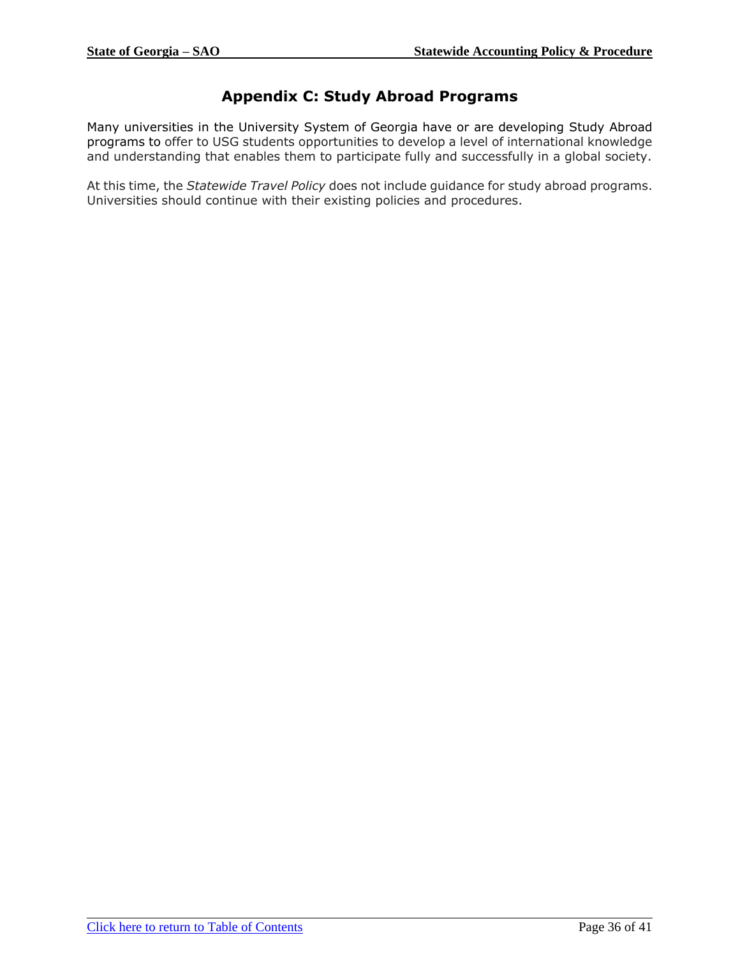# **Appendix C: Study Abroad Programs**

<span id="page-35-0"></span>Many universities in the University System of Georgia have or are developing Study Abroad programs to offer to USG students opportunities to develop a level of international knowledge and understanding that enables them to participate fully and successfully in a global society.

At this time, the *Statewide Travel Policy* does not include guidance for study abroad programs. Universities should continue with their existing policies and procedures.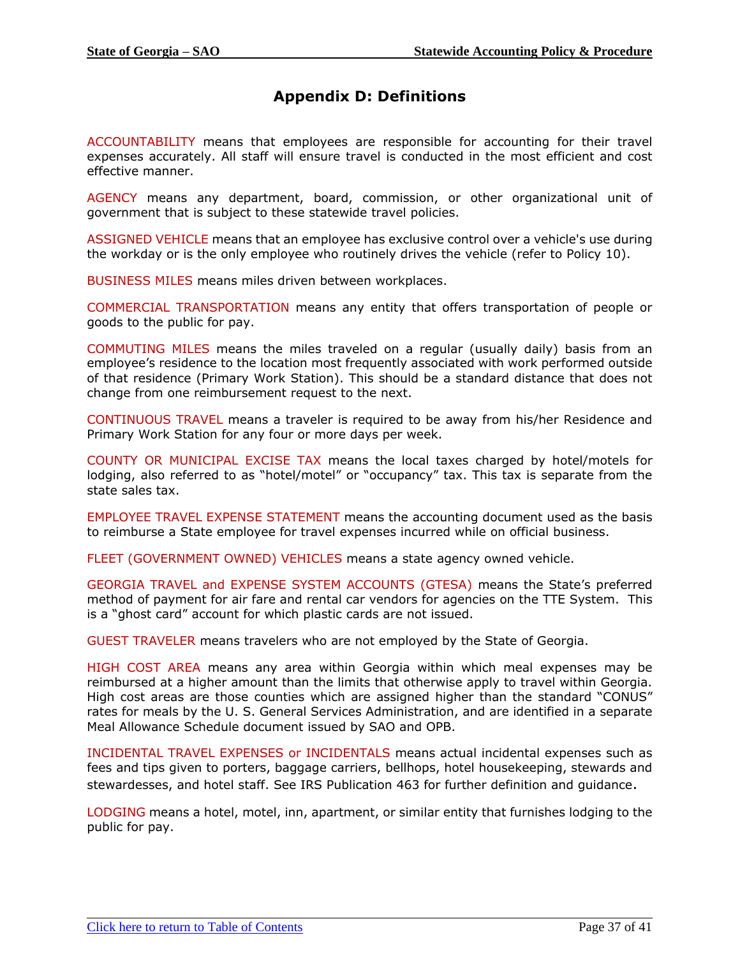# **Appendix D: Definitions**

<span id="page-36-0"></span>ACCOUNTABILITY means that employees are responsible for accounting for their travel expenses accurately. All staff will ensure travel is conducted in the most efficient and cost effective manner.

AGENCY means any department, board, commission, or other organizational unit of government that is subject to these statewide travel policies.

ASSIGNED VEHICLE means that an employee has exclusive control over a vehicle's use during the workday or is the only employee who routinely drives the vehicle (refer to Policy 10).

BUSINESS MILES means miles driven between workplaces.

COMMERCIAL TRANSPORTATION means any entity that offers transportation of people or goods to the public for pay.

COMMUTING MILES means the miles traveled on a regular (usually daily) basis from an employee's residence to the location most frequently associated with work performed outside of that residence (Primary Work Station). This should be a standard distance that does not change from one reimbursement request to the next.

CONTINUOUS TRAVEL means a traveler is required to be away from his/her Residence and Primary Work Station for any four or more days per week.

COUNTY OR MUNICIPAL EXCISE TAX means the local taxes charged by hotel/motels for lodging, also referred to as "hotel/motel" or "occupancy" tax. This tax is separate from the state sales tax.

EMPLOYEE TRAVEL EXPENSE STATEMENT means the accounting document used as the basis to reimburse a State employee for travel expenses incurred while on official business.

FLEET (GOVERNMENT OWNED) VEHICLES means a state agency owned vehicle.

GEORGIA TRAVEL and EXPENSE SYSTEM ACCOUNTS (GTESA) means the State's preferred method of payment for air fare and rental car vendors for agencies on the TTE System. This is a "ghost card" account for which plastic cards are not issued.

GUEST TRAVELER means travelers who are not employed by the State of Georgia.

HIGH COST AREA means any area within Georgia within which meal expenses may be reimbursed at a higher amount than the limits that otherwise apply to travel within Georgia. High cost areas are those counties which are assigned higher than the standard "CONUS" rates for meals by the U. S. General Services Administration, and are identified in a separate Meal Allowance Schedule document issued by SAO and OPB.

INCIDENTAL TRAVEL EXPENSES or INCIDENTALS means actual incidental expenses such as fees and tips given to porters, baggage carriers, bellhops, hotel housekeeping, stewards and stewardesses, and hotel staff. See IRS Publication 463 for further definition and guidance.

LODGING means a hotel, motel, inn, apartment, or similar entity that furnishes lodging to the public for pay.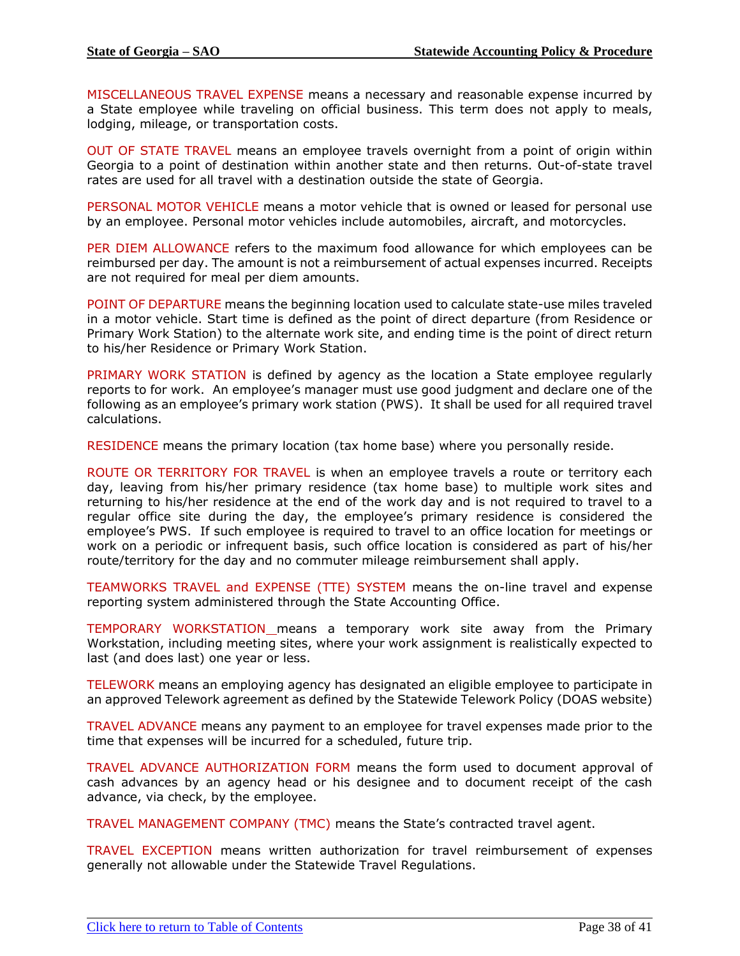MISCELLANEOUS TRAVEL EXPENSE means a necessary and reasonable expense incurred by a State employee while traveling on official business. This term does not apply to meals, lodging, mileage, or transportation costs.

OUT OF STATE TRAVEL means an employee travels overnight from a point of origin within Georgia to a point of destination within another state and then returns. Out-of-state travel rates are used for all travel with a destination outside the state of Georgia.

PERSONAL MOTOR VEHICLE means a motor vehicle that is owned or leased for personal use by an employee. Personal motor vehicles include automobiles, aircraft, and motorcycles.

PER DIEM ALLOWANCE refers to the maximum food allowance for which employees can be reimbursed per day. The amount is not a reimbursement of actual expenses incurred. Receipts are not required for meal per diem amounts.

POINT OF DEPARTURE means the beginning location used to calculate state-use miles traveled in a motor vehicle. Start time is defined as the point of direct departure (from Residence or Primary Work Station) to the alternate work site, and ending time is the point of direct return to his/her Residence or Primary Work Station.

PRIMARY WORK STATION is defined by agency as the location a State employee regularly reports to for work. An employee's manager must use good judgment and declare one of the following as an employee's primary work station (PWS). It shall be used for all required travel calculations.

RESIDENCE means the primary location (tax home base) where you personally reside.

ROUTE OR TERRITORY FOR TRAVEL is when an employee travels a route or territory each day, leaving from his/her primary residence (tax home base) to multiple work sites and returning to his/her residence at the end of the work day and is not required to travel to a regular office site during the day, the employee's primary residence is considered the employee's PWS. If such employee is required to travel to an office location for meetings or work on a periodic or infrequent basis, such office location is considered as part of his/her route/territory for the day and no commuter mileage reimbursement shall apply.

TEAMWORKS TRAVEL and EXPENSE (TTE) SYSTEM means the on-line travel and expense reporting system administered through the State Accounting Office.

TEMPORARY WORKSTATION means a temporary work site away from the Primary Workstation, including meeting sites, where your work assignment is realistically expected to last (and does last) one year or less.

TELEWORK means an employing agency has designated an eligible employee to participate in an approved Telework agreement as defined by the Statewide Telework Policy (DOAS website)

TRAVEL ADVANCE means any payment to an employee for travel expenses made prior to the time that expenses will be incurred for a scheduled, future trip.

TRAVEL ADVANCE AUTHORIZATION FORM means the form used to document approval of cash advances by an agency head or his designee and to document receipt of the cash advance, via check, by the employee.

TRAVEL MANAGEMENT COMPANY (TMC) means the State's contracted travel agent.

TRAVEL EXCEPTION means written authorization for travel reimbursement of expenses generally not allowable under the Statewide Travel Regulations.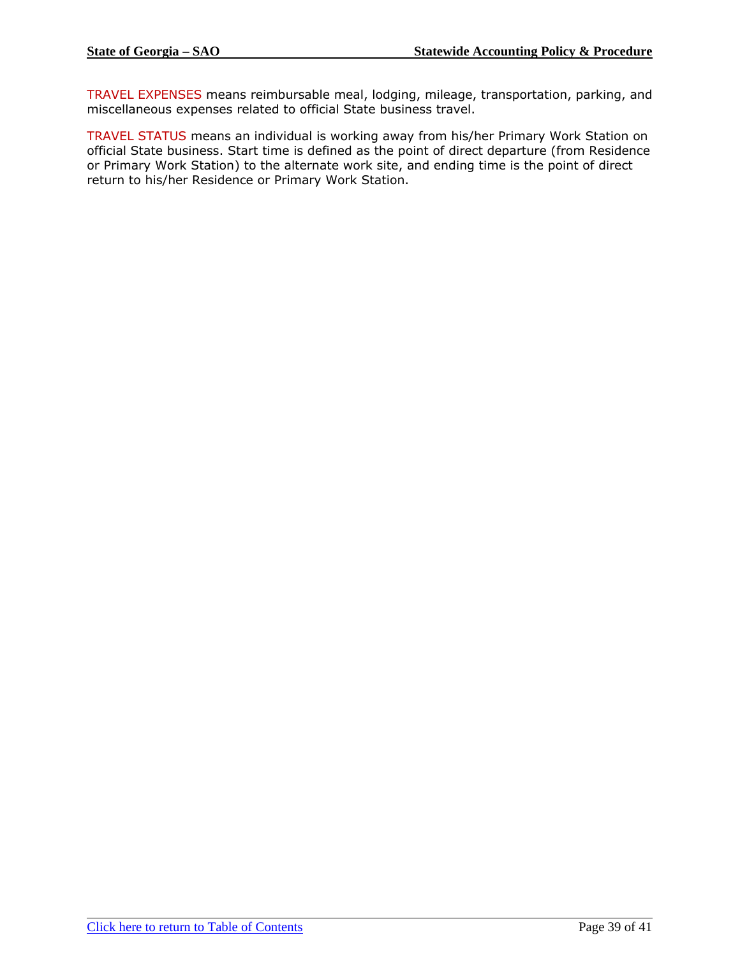TRAVEL EXPENSES means reimbursable meal, lodging, mileage, transportation, parking, and miscellaneous expenses related to official State business travel.

TRAVEL STATUS means an individual is working away from his/her Primary Work Station on official State business. Start time is defined as the point of direct departure (from Residence or Primary Work Station) to the alternate work site, and ending time is the point of direct return to his/her Residence or Primary Work Station.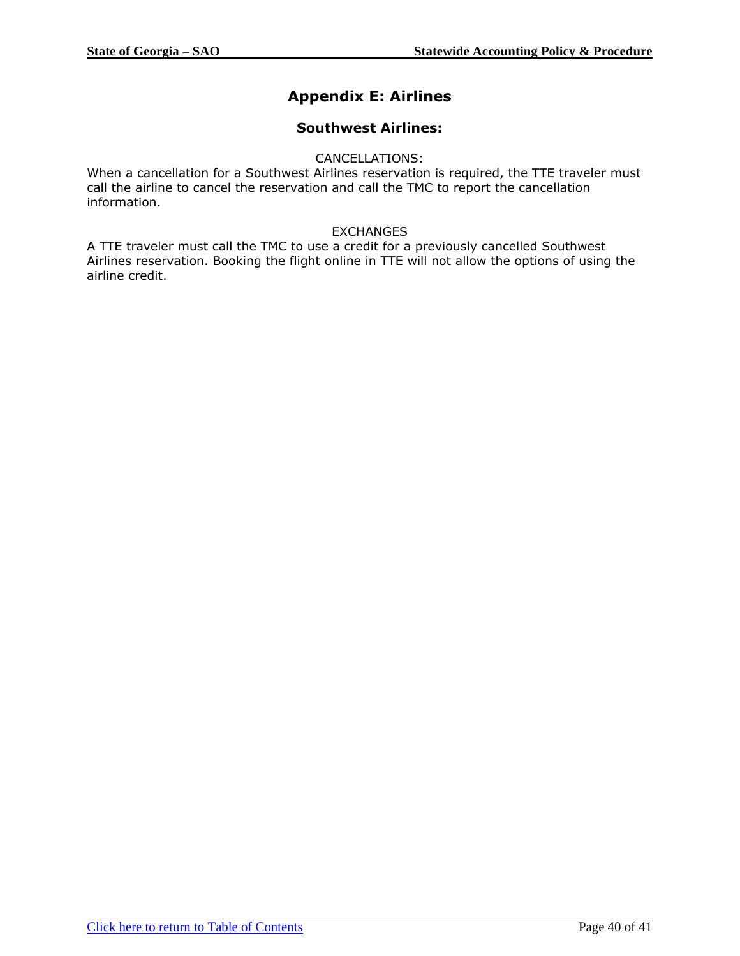# **Appendix E: Airlines**

# **Southwest Airlines:**

#### CANCELLATIONS:

<span id="page-39-0"></span>When a cancellation for a Southwest Airlines reservation is required, the TTE traveler must call the airline to cancel the reservation and call the TMC to report the cancellation information.

### EXCHANGES

A TTE traveler must call the TMC to use a credit for a previously cancelled Southwest Airlines reservation. Booking the flight online in TTE will not allow the options of using the airline credit.